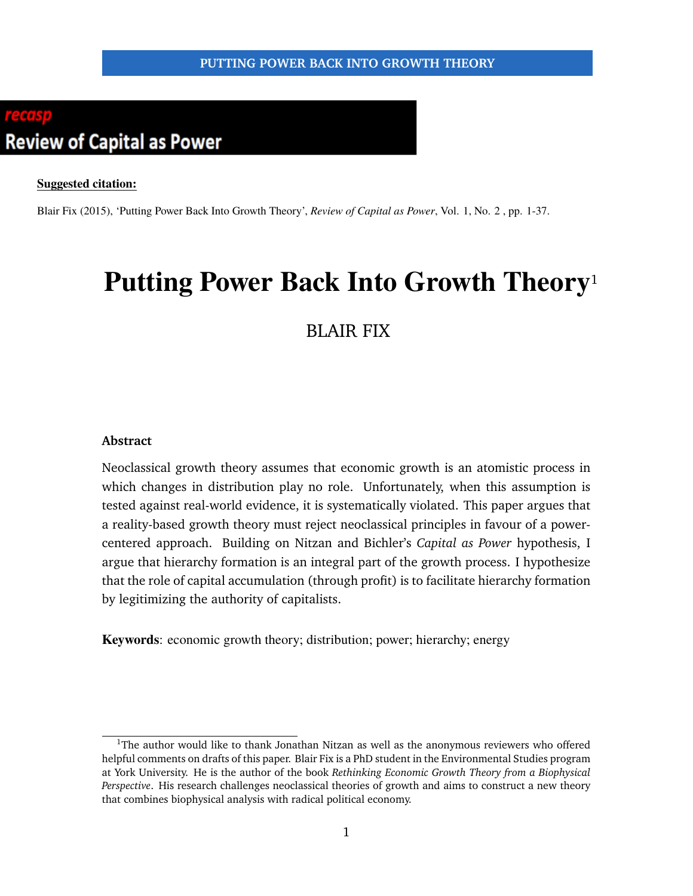# <span id="page-0-0"></span>**Review of Capital as Power**

#### **Suggested citation:**

Blair Fix (2015), 'Putting Power Back Into Growth Theory', *Review of Capital as Power*, Vol. 1, No. 2 , pp. 1-37.

# **Putting Power Back Into Growth Theory**<sup>1</sup>

# BLAIR FIX

#### **Abstract**

Neoclassical growth theory assumes that economic growth is an atomistic process in which changes in distribution play no role. Unfortunately, when this assumption is tested against real-world evidence, it is systematically violated. This paper argues that a reality-based growth theory must reject neoclassical principles in favour of a powercentered approach. Building on Nitzan and Bichler's *Capital as Power* hypothesis, I argue that hierarchy formation is an integral part of the growth process. I hypothesize that the role of capital accumulation (through profit) is to facilitate hierarchy formation by legitimizing the authority of capitalists.

**Keywords**: economic growth theory; distribution; power; hierarchy; energy

<sup>&</sup>lt;sup>1</sup>The author would like to thank Jonathan Nitzan as well as the anonymous reviewers who offered helpful comments on drafts of this paper. Blair Fix is a PhD student in the Environmental Studies program at York University. He is the author of the book *Rethinking Economic Growth Theory from a Biophysical Perspective*. His research challenges neoclassical theories of growth and aims to construct a new theory that combines biophysical analysis with radical political economy.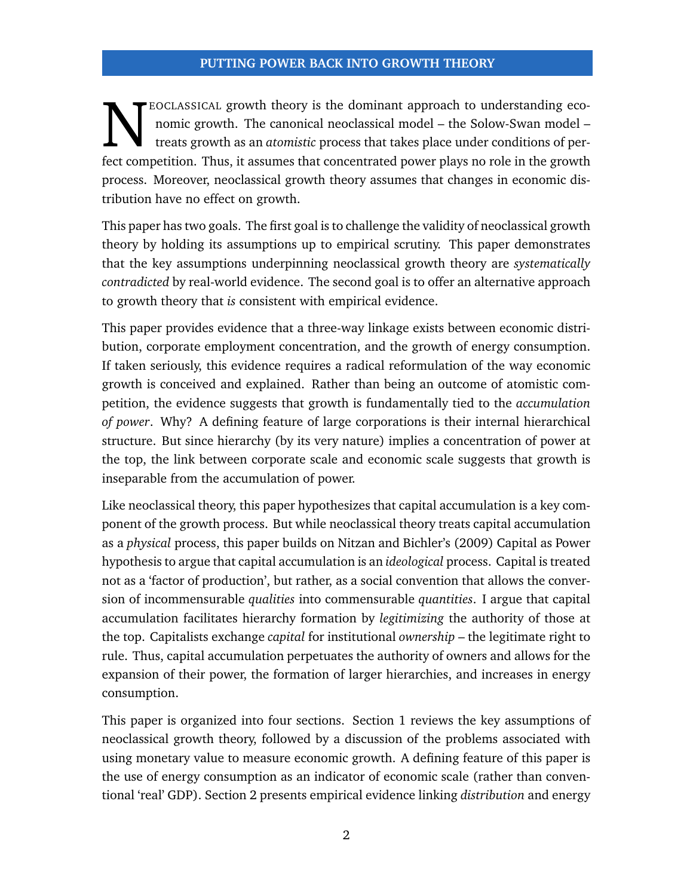EOCLASSICAL growth theory is the dominant approach to understanding eco-<br>nomic growth. The canonical neoclassical model – the Solow-Swan model –<br>fect competition. Thus, it assumes that concentrated power plays no role in t EOCLASSICAL growth theory is the dominant approach to understanding economic growth. The canonical neoclassical model – the Solow-Swan model – treats growth as an *atomistic* process that takes place under conditions of perprocess. Moreover, neoclassical growth theory assumes that changes in economic distribution have no effect on growth.

This paper has two goals. The first goal is to challenge the validity of neoclassical growth theory by holding its assumptions up to empirical scrutiny. This paper demonstrates that the key assumptions underpinning neoclassical growth theory are *systematically contradicted* by real-world evidence. The second goal is to offer an alternative approach to growth theory that *is* consistent with empirical evidence.

This paper provides evidence that a three-way linkage exists between economic distribution, corporate employment concentration, and the growth of energy consumption. If taken seriously, this evidence requires a radical reformulation of the way economic growth is conceived and explained. Rather than being an outcome of atomistic competition, the evidence suggests that growth is fundamentally tied to the *accumulation of power*. Why? A defining feature of large corporations is their internal hierarchical structure. But since hierarchy (by its very nature) implies a concentration of power at the top, the link between corporate scale and economic scale suggests that growth is inseparable from the accumulation of power.

Like neoclassical theory, this paper hypothesizes that capital accumulation is a key component of the growth process. But while neoclassical theory treats capital accumulation as a *physical* process, this paper builds on Nitzan and Bichler's [\(2009\)](#page-35-0) Capital as Power hypothesis to argue that capital accumulation is an *ideological* process. Capital is treated not as a 'factor of production', but rather, as a social convention that allows the conversion of incommensurable *qualities* into commensurable *quantities*. I argue that capital accumulation facilitates hierarchy formation by *legitimizing* the authority of those at the top. Capitalists exchange *capital* for institutional *ownership* – the legitimate right to rule. Thus, capital accumulation perpetuates the authority of owners and allows for the expansion of their power, the formation of larger hierarchies, and increases in energy consumption.

This paper is organized into four sections. Section 1 reviews the key assumptions of neoclassical growth theory, followed by a discussion of the problems associated with using monetary value to measure economic growth. A defining feature of this paper is the use of energy consumption as an indicator of economic scale (rather than conventional 'real' GDP). Section 2 presents empirical evidence linking *distribution* and energy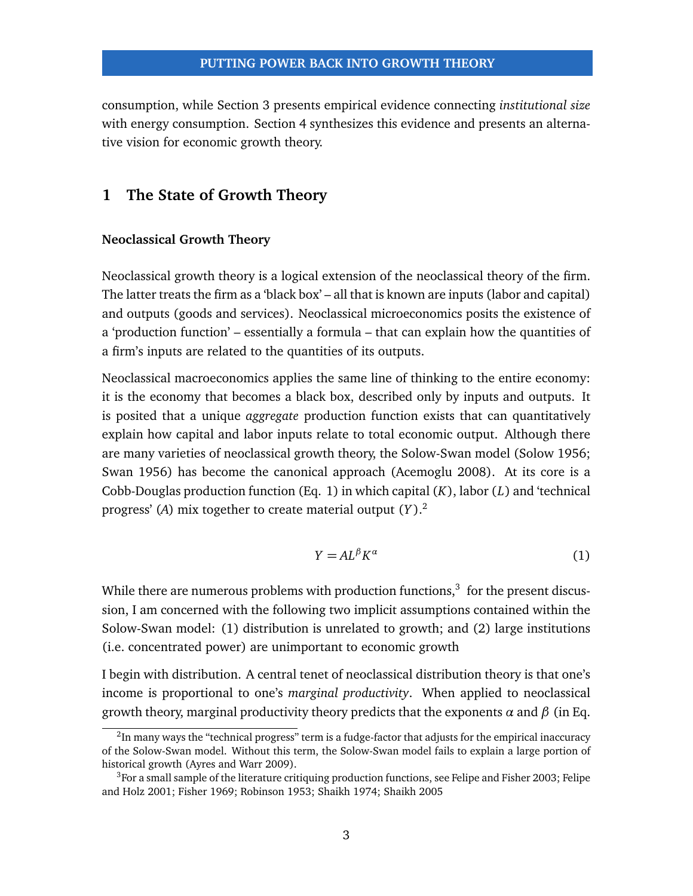consumption, while Section 3 presents empirical evidence connecting *institutional size* with energy consumption. Section 4 synthesizes this evidence and presents an alternative vision for economic growth theory.

# **1 The State of Growth Theory**

#### **Neoclassical Growth Theory**

Neoclassical growth theory is a logical extension of the neoclassical theory of the firm. The latter treats the firm as a 'black box' – all that is known are inputs (labor and capital) and outputs (goods and services). Neoclassical microeconomics posits the existence of a 'production function' – essentially a formula – that can explain how the quantities of a firm's inputs are related to the quantities of its outputs.

Neoclassical macroeconomics applies the same line of thinking to the entire economy: it is the economy that becomes a black box, described only by inputs and outputs. It is posited that a unique *aggregate* production function exists that can quantitatively explain how capital and labor inputs relate to total economic output. Although there are many varieties of neoclassical growth theory, the Solow-Swan model (Solow [1956;](#page-35-1) Swan [1956\)](#page-35-2) has become the canonical approach (Acemoglu [2008\)](#page-33-0). At its core is a Cobb-Douglas production function (Eq. [1\)](#page-2-0) in which capital (*K*), labor (*L*) and 'technical progress' (*A*) mix together to create material output (*Y* ).[2](#page-0-0)

<span id="page-2-0"></span>
$$
Y = AL^{\beta} K^{\alpha} \tag{1}
$$

While there are numerous problems with production functions, $^3\,$  $^3\,$  $^3\,$  for the present discussion, I am concerned with the following two implicit assumptions contained within the Solow-Swan model: (1) distribution is unrelated to growth; and (2) large institutions (i.e. concentrated power) are unimportant to economic growth

I begin with distribution. A central tenet of neoclassical distribution theory is that one's income is proportional to one's *marginal productivity*. When applied to neoclassical growth theory, marginal productivity theory predicts that the exponents *α* and *β* (in Eq.

 $^2$ In many ways the "technical progress" term is a fudge-factor that adjusts for the empirical inaccuracy of the Solow-Swan model. Without this term, the Solow-Swan model fails to explain a large portion of historical growth (Ayres and Warr [2009\)](#page-33-1).

<sup>&</sup>lt;sup>3</sup>For a small sample of the literature critiquing production functions, see Felipe and Fisher [2003;](#page-33-2) Felipe and Holz [2001;](#page-34-0) Fisher [1969;](#page-34-1) Robinson [1953;](#page-35-3) Shaikh [1974;](#page-35-4) Shaikh [2005](#page-35-5)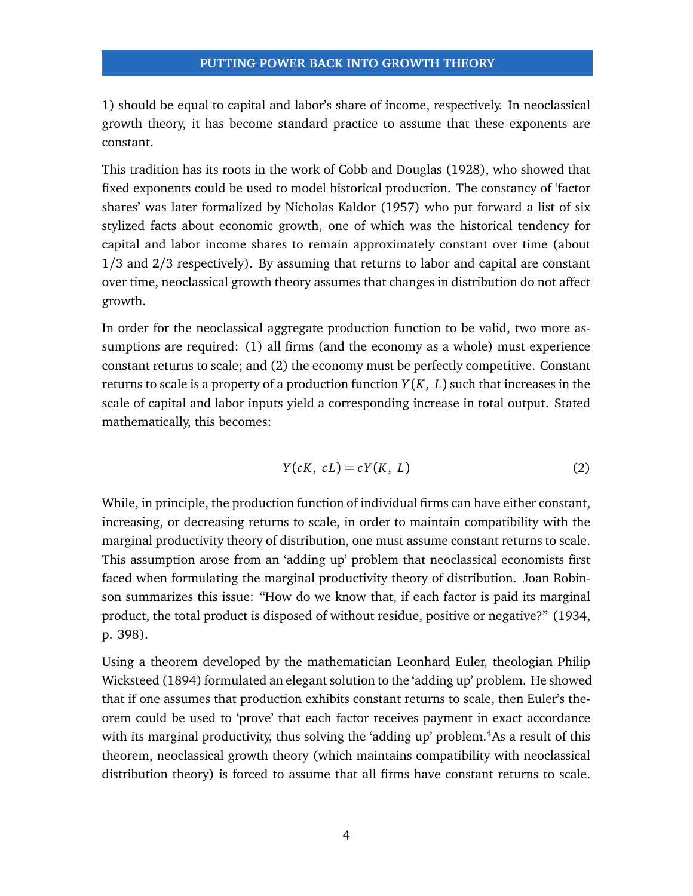[1\)](#page-2-0) should be equal to capital and labor's share of income, respectively. In neoclassical growth theory, it has become standard practice to assume that these exponents are constant.

This tradition has its roots in the work of Cobb and Douglas [\(1928\)](#page-33-3), who showed that fixed exponents could be used to model historical production. The constancy of 'factor shares' was later formalized by Nicholas Kaldor [\(1957\)](#page-34-2) who put forward a list of six stylized facts about economic growth, one of which was the historical tendency for capital and labor income shares to remain approximately constant over time (about 1/3 and 2/3 respectively). By assuming that returns to labor and capital are constant over time, neoclassical growth theory assumes that changes in distribution do not affect growth.

In order for the neoclassical aggregate production function to be valid, two more assumptions are required: (1) all firms (and the economy as a whole) must experience constant returns to scale; and (2) the economy must be perfectly competitive. Constant returns to scale is a property of a production function *Y* (*K*, *L*) such that increases in the scale of capital and labor inputs yield a corresponding increase in total output. Stated mathematically, this becomes:

$$
Y(cK, cL) = cY(K, L)
$$
 (2)

While, in principle, the production function of individual firms can have either constant, increasing, or decreasing returns to scale, in order to maintain compatibility with the marginal productivity theory of distribution, one must assume constant returns to scale. This assumption arose from an 'adding up' problem that neoclassical economists first faced when formulating the marginal productivity theory of distribution. Joan Robinson summarizes this issue: "How do we know that, if each factor is paid its marginal product, the total product is disposed of without residue, positive or negative?" [\(1934,](#page-35-6) p. 398).

Using a theorem developed by the mathematician Leonhard Euler, theologian Philip Wicksteed [\(1894\)](#page-35-7) formulated an elegant solution to the 'adding up' problem. He showed that if one assumes that production exhibits constant returns to scale, then Euler's theorem could be used to 'prove' that each factor receives payment in exact accordance with its marginal productivity, thus solving the 'adding up' problem.<sup>[4](#page-0-0)</sup>As a result of this theorem, neoclassical growth theory (which maintains compatibility with neoclassical distribution theory) is forced to assume that all firms have constant returns to scale.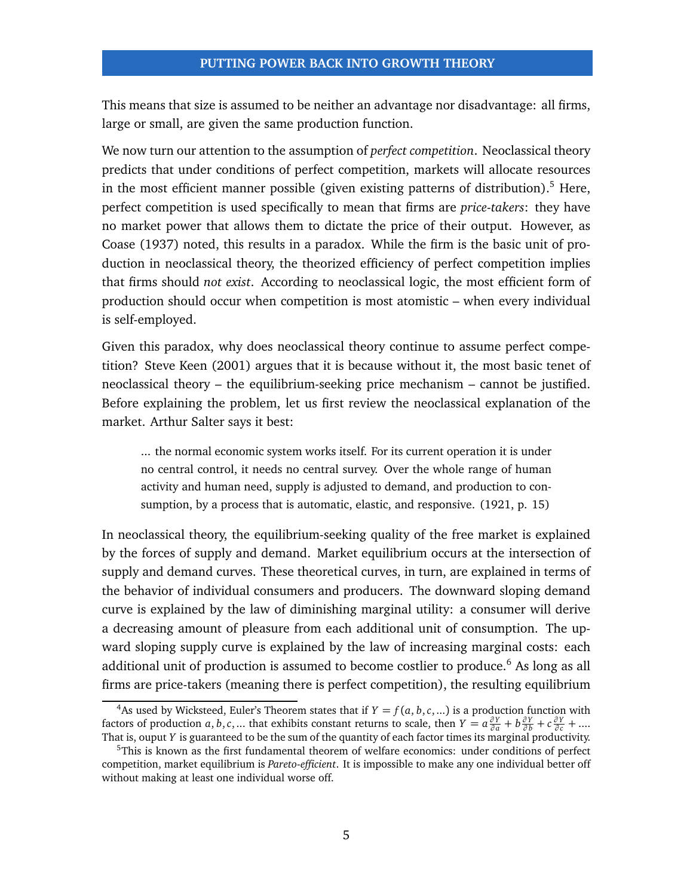This means that size is assumed to be neither an advantage nor disadvantage: all firms, large or small, are given the same production function.

We now turn our attention to the assumption of *perfect competition*. Neoclassical theory predicts that under conditions of perfect competition, markets will allocate resources in the most efficient manner possible (given existing patterns of distribution).<sup>[5](#page-0-0)</sup> Here, perfect competition is used specifically to mean that firms are *price-takers*: they have no market power that allows them to dictate the price of their output. However, as Coase [\(1937\)](#page-33-4) noted, this results in a paradox. While the firm is the basic unit of production in neoclassical theory, the theorized efficiency of perfect competition implies that firms should *not exist*. According to neoclassical logic, the most efficient form of production should occur when competition is most atomistic – when every individual is self-employed.

Given this paradox, why does neoclassical theory continue to assume perfect competition? Steve Keen [\(2001\)](#page-34-3) argues that it is because without it, the most basic tenet of neoclassical theory – the equilibrium-seeking price mechanism – cannot be justified. Before explaining the problem, let us first review the neoclassical explanation of the market. Arthur Salter says it best:

... the normal economic system works itself. For its current operation it is under no central control, it needs no central survey. Over the whole range of human activity and human need, supply is adjusted to demand, and production to consumption, by a process that is automatic, elastic, and responsive. [\(1921,](#page-35-8) p. 15)

In neoclassical theory, the equilibrium-seeking quality of the free market is explained by the forces of supply and demand. Market equilibrium occurs at the intersection of supply and demand curves. These theoretical curves, in turn, are explained in terms of the behavior of individual consumers and producers. The downward sloping demand curve is explained by the law of diminishing marginal utility: a consumer will derive a decreasing amount of pleasure from each additional unit of consumption. The upward sloping supply curve is explained by the law of increasing marginal costs: each additional unit of production is assumed to become costlier to produce.<sup>[6](#page-0-0)</sup> As long as all firms are price-takers (meaning there is perfect competition), the resulting equilibrium

<sup>&</sup>lt;sup>4</sup>As used by Wicksteed, Euler's Theorem states that if  $Y = f(a, b, c, ...)$  is a production function with factors of production a, b, c, ... that exhibits constant returns to scale, then  $Y = a \frac{\partial Y}{\partial a} + b \frac{\partial Y}{\partial b} + c \frac{\partial Y}{\partial c} + ...$ That is, ouput *Y* is guaranteed to be the sum of the quantity of each factor times its marginal productivity.

<sup>&</sup>lt;sup>5</sup>This is known as the first fundamental theorem of welfare economics: under conditions of perfect competition, market equilibrium is *Pareto-efficient*. It is impossible to make any one individual better off without making at least one individual worse off.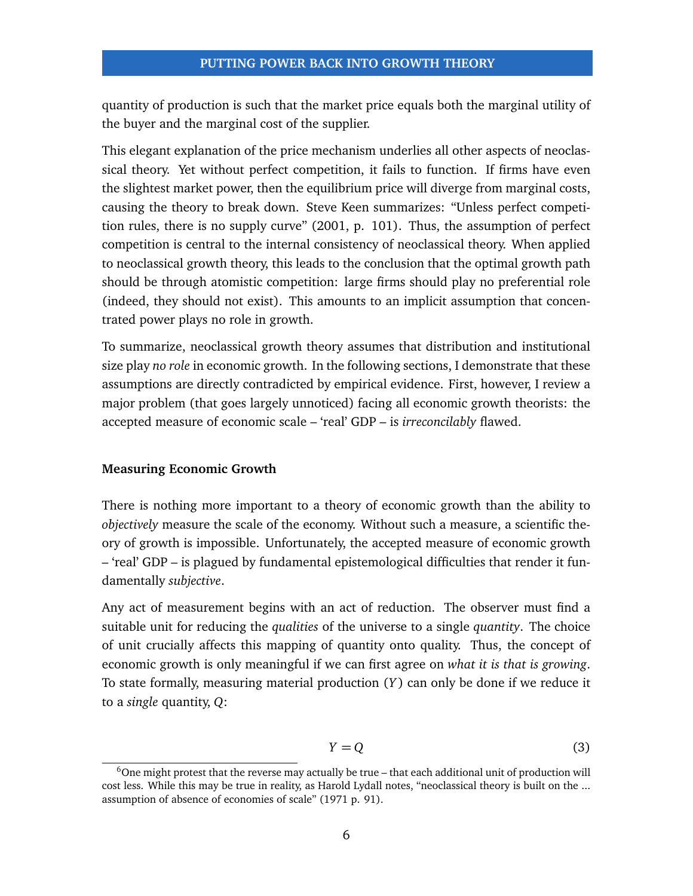quantity of production is such that the market price equals both the marginal utility of the buyer and the marginal cost of the supplier.

This elegant explanation of the price mechanism underlies all other aspects of neoclassical theory. Yet without perfect competition, it fails to function. If firms have even the slightest market power, then the equilibrium price will diverge from marginal costs, causing the theory to break down. Steve Keen summarizes: "Unless perfect competition rules, there is no supply curve" [\(2001,](#page-34-3) p. 101). Thus, the assumption of perfect competition is central to the internal consistency of neoclassical theory. When applied to neoclassical growth theory, this leads to the conclusion that the optimal growth path should be through atomistic competition: large firms should play no preferential role (indeed, they should not exist). This amounts to an implicit assumption that concentrated power plays no role in growth.

To summarize, neoclassical growth theory assumes that distribution and institutional size play *no role* in economic growth. In the following sections, I demonstrate that these assumptions are directly contradicted by empirical evidence. First, however, I review a major problem (that goes largely unnoticed) facing all economic growth theorists: the accepted measure of economic scale – 'real' GDP – is *irreconcilably* flawed.

#### **Measuring Economic Growth**

There is nothing more important to a theory of economic growth than the ability to *objectively* measure the scale of the economy. Without such a measure, a scientific theory of growth is impossible. Unfortunately, the accepted measure of economic growth – 'real' GDP – is plagued by fundamental epistemological difficulties that render it fundamentally *subjective*.

Any act of measurement begins with an act of reduction. The observer must find a suitable unit for reducing the *qualities* of the universe to a single *quantity*. The choice of unit crucially affects this mapping of quantity onto quality. Thus, the concept of economic growth is only meaningful if we can first agree on *what it is that is growing*. To state formally, measuring material production (*Y* ) can only be done if we reduce it to a *single* quantity, *Q*:

$$
Y = Q \tag{3}
$$

 $6$ One might protest that the reverse may actually be true – that each additional unit of production will cost less. While this may be true in reality, as Harold Lydall notes, "neoclassical theory is built on the ... assumption of absence of economies of scale" [\(1971](#page-34-4) p. 91).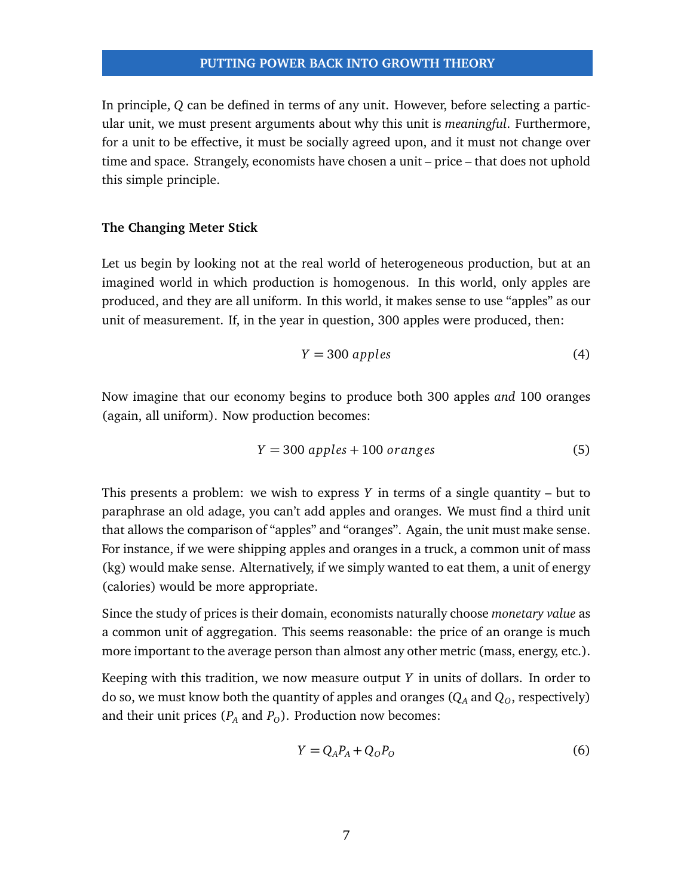In principle, *Q* can be defined in terms of any unit. However, before selecting a particular unit, we must present arguments about why this unit is *meaningful*. Furthermore, for a unit to be effective, it must be socially agreed upon, and it must not change over time and space. Strangely, economists have chosen a unit – price – that does not uphold this simple principle.

#### **The Changing Meter Stick**

Let us begin by looking not at the real world of heterogeneous production, but at an imagined world in which production is homogenous. In this world, only apples are produced, and they are all uniform. In this world, it makes sense to use "apples" as our unit of measurement. If, in the year in question, 300 apples were produced, then:

$$
Y = 300 \text{ apples} \tag{4}
$$

Now imagine that our economy begins to produce both 300 apples *and* 100 oranges (again, all uniform). Now production becomes:

$$
Y = 300 \text{ apples} + 100 \text{ oranges} \tag{5}
$$

This presents a problem: we wish to express *Y* in terms of a single quantity – but to paraphrase an old adage, you can't add apples and oranges. We must find a third unit that allows the comparison of "apples" and "oranges". Again, the unit must make sense. For instance, if we were shipping apples and oranges in a truck, a common unit of mass (kg) would make sense. Alternatively, if we simply wanted to eat them, a unit of energy (calories) would be more appropriate.

Since the study of prices is their domain, economists naturally choose *monetary value* as a common unit of aggregation. This seems reasonable: the price of an orange is much more important to the average person than almost any other metric (mass, energy, etc.).

Keeping with this tradition, we now measure output *Y* in units of dollars. In order to do so, we must know both the quantity of apples and oranges  $(Q_A \text{ and } Q_O)$ , respectively) and their unit prices  $(P_A \text{ and } P_O)$ . Production now becomes:

$$
Y = Q_A P_A + Q_O P_O \tag{6}
$$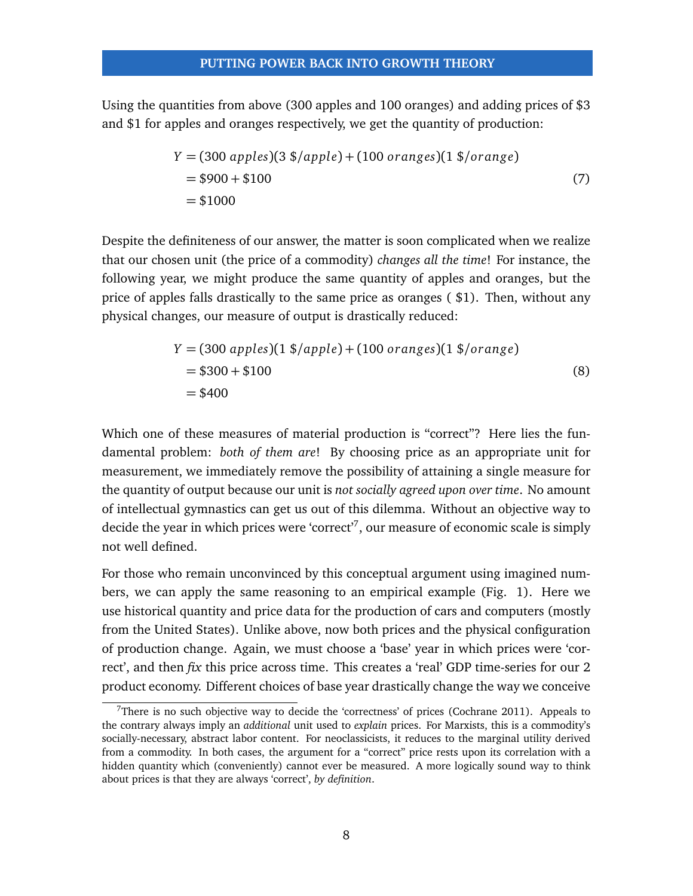Using the quantities from above (300 apples and 100 oranges) and adding prices of \$3 and \$1 for apples and oranges respectively, we get the quantity of production:

$$
Y = (300 \text{ apples})(3 \text{ $}\frac{1}{2}) + (100 \text{ oranges})(1 \text{ $}\frac{1}{2})
$$
  
= \$900 + \$100  
= \$1000 (7)

Despite the definiteness of our answer, the matter is soon complicated when we realize that our chosen unit (the price of a commodity) *changes all the time*! For instance, the following year, we might produce the same quantity of apples and oranges, but the price of apples falls drastically to the same price as oranges ( \$1). Then, without any physical changes, our measure of output is drastically reduced:

$$
Y = (300 \text{ apples})(1 \text{ %}/\text{apple}) + (100 \text{ oranges})(1 \text{ %}/\text{orange})
$$
  
= \$300 + \$100  
= \$400 (8)

Which one of these measures of material production is "correct"? Here lies the fundamental problem: *both of them are*! By choosing price as an appropriate unit for measurement, we immediately remove the possibility of attaining a single measure for the quantity of output because our unit is *not socially agreed upon over time*. No amount of intellectual gymnastics can get us out of this dilemma. Without an objective way to decide the year in which prices were 'correct'<sup>[7](#page-0-0)</sup>, our measure of economic scale is simply not well defined.

For those who remain unconvinced by this conceptual argument using imagined numbers, we can apply the same reasoning to an empirical example (Fig. [1\)](#page-8-0). Here we use historical quantity and price data for the production of cars and computers (mostly from the United States). Unlike above, now both prices and the physical configuration of production change. Again, we must choose a 'base' year in which prices were 'correct', and then *fix* this price across time. This creates a 'real' GDP time-series for our 2 product economy. Different choices of base year drastically change the way we conceive

There is no such objective way to decide the 'correctness' of prices (Cochrane [2011\)](#page-33-5). Appeals to the contrary always imply an *additional* unit used to *explain* prices. For Marxists, this is a commodity's socially-necessary, abstract labor content. For neoclassicists, it reduces to the marginal utility derived from a commodity. In both cases, the argument for a "correct" price rests upon its correlation with a hidden quantity which (conveniently) cannot ever be measured. A more logically sound way to think about prices is that they are always 'correct', *by definition*.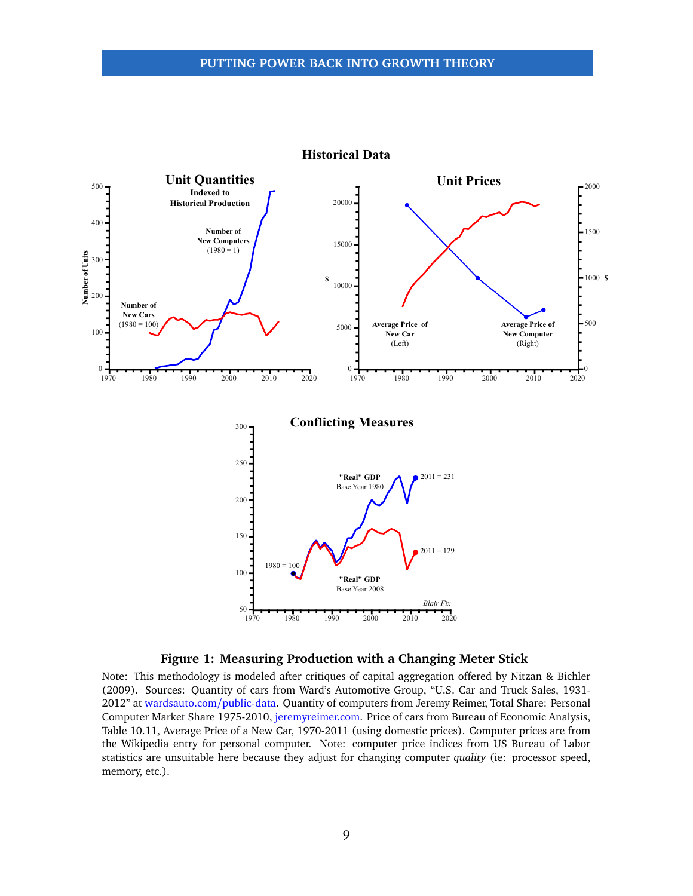<span id="page-8-0"></span>

#### **Historical Data**



Note: This methodology is modeled after critiques of capital aggregation offered by Nitzan & Bichler [\(2009\)](#page-35-0). Sources: Quantity of cars from Ward's Automotive Group, "U.S. Car and Truck Sales, 1931- 2012" at [wardsauto.com](wardsauto.com/public-data)/public-data. Quantity of computers from Jeremy Reimer, Total Share: Personal Computer Market Share 1975-2010, [jeremyreimer.com.](jeremyreimer.com) Price of cars from Bureau of Economic Analysis, Table 10.11, Average Price of a New Car, 1970-2011 (using domestic prices). Computer prices are from the Wikipedia entry for personal computer. Note: computer price indices from US Bureau of Labor statistics are unsuitable here because they adjust for changing computer *quality* (ie: processor speed, memory, etc.).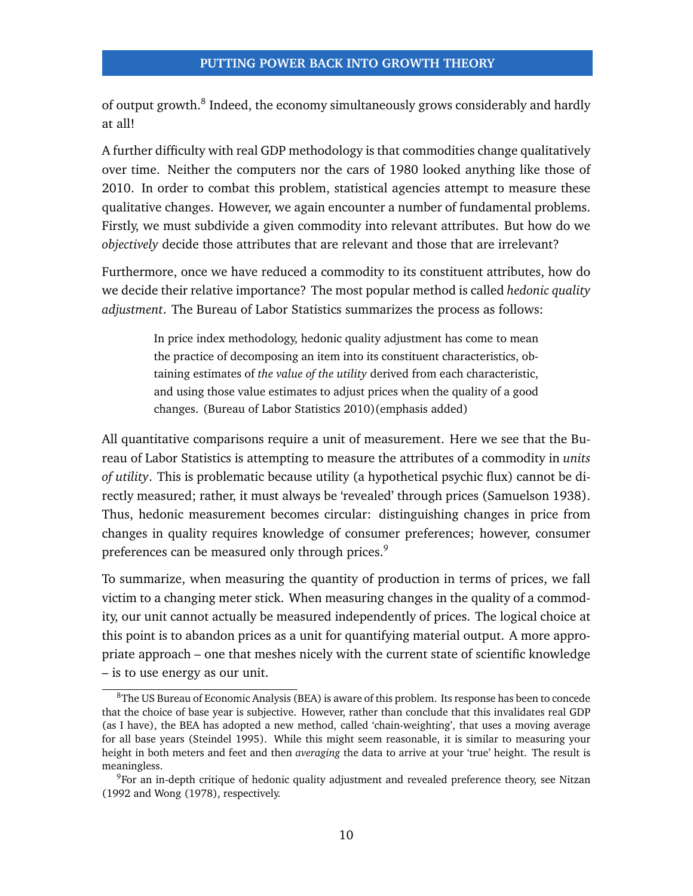of output growth.<sup>[8](#page-0-0)</sup> Indeed, the economy simultaneously grows considerably and hardly at all!

A further difficulty with real GDP methodology is that commodities change qualitatively over time. Neither the computers nor the cars of 1980 looked anything like those of 2010. In order to combat this problem, statistical agencies attempt to measure these qualitative changes. However, we again encounter a number of fundamental problems. Firstly, we must subdivide a given commodity into relevant attributes. But how do we *objectively* decide those attributes that are relevant and those that are irrelevant?

Furthermore, once we have reduced a commodity to its constituent attributes, how do we decide their relative importance? The most popular method is called *hedonic quality adjustment*. The Bureau of Labor Statistics summarizes the process as follows:

> In price index methodology, hedonic quality adjustment has come to mean the practice of decomposing an item into its constituent characteristics, obtaining estimates of *the value of the utility* derived from each characteristic, and using those value estimates to adjust prices when the quality of a good changes. (Bureau of Labor Statistics [2010\)](#page-33-6)(emphasis added)

All quantitative comparisons require a unit of measurement. Here we see that the Bureau of Labor Statistics is attempting to measure the attributes of a commodity in *units of utility*. This is problematic because utility (a hypothetical psychic flux) cannot be directly measured; rather, it must always be 'revealed' through prices (Samuelson [1938\)](#page-35-9). Thus, hedonic measurement becomes circular: distinguishing changes in price from changes in quality requires knowledge of consumer preferences; however, consumer preferences can be measured only through prices.<sup>[9](#page-0-0)</sup>

To summarize, when measuring the quantity of production in terms of prices, we fall victim to a changing meter stick. When measuring changes in the quality of a commodity, our unit cannot actually be measured independently of prices. The logical choice at this point is to abandon prices as a unit for quantifying material output. A more appropriate approach – one that meshes nicely with the current state of scientific knowledge – is to use energy as our unit.

<sup>&</sup>lt;sup>8</sup>The US Bureau of Economic Analysis (BEA) is aware of this problem. Its response has been to concede that the choice of base year is subjective. However, rather than conclude that this invalidates real GDP (as I have), the BEA has adopted a new method, called 'chain-weighting', that uses a moving average for all base years (Steindel [1995\)](#page-35-10). While this might seem reasonable, it is similar to measuring your height in both meters and feet and then *averaging* the data to arrive at your 'true' height. The result is meaningless.

<sup>9</sup>For an in-depth critique of hedonic quality adjustment and revealed preference theory, see Nitzan [\(1992](#page-34-5) and Wong [\(1978\)](#page-36-0), respectively.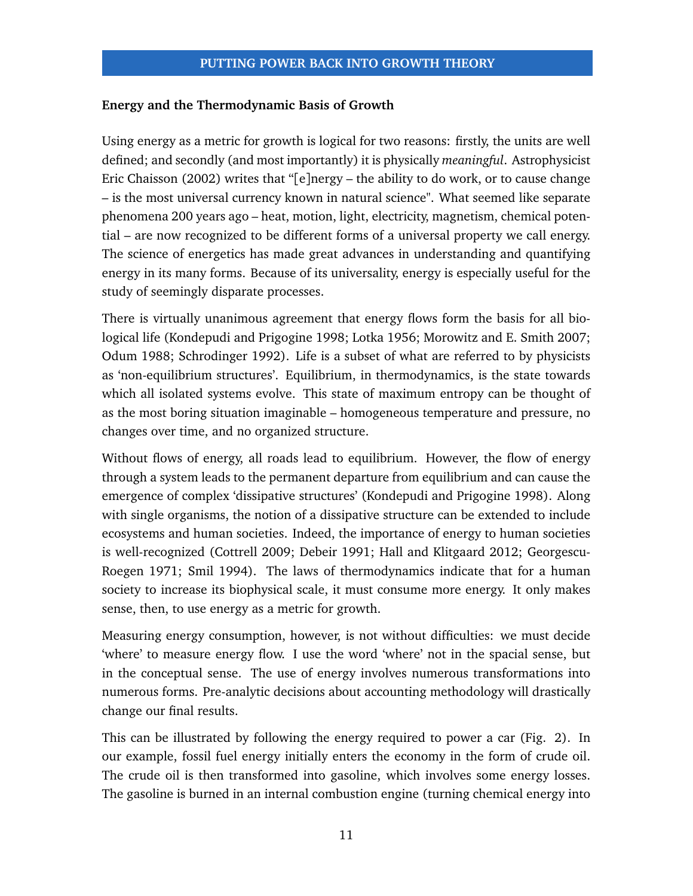#### **Energy and the Thermodynamic Basis of Growth**

Using energy as a metric for growth is logical for two reasons: firstly, the units are well defined; and secondly (and most importantly) it is physically *meaningful*. Astrophysicist Eric Chaisson [\(2002\)](#page-33-7) writes that "[e]nergy – the ability to do work, or to cause change – is the most universal currency known in natural science". What seemed like separate phenomena 200 years ago – heat, motion, light, electricity, magnetism, chemical potential – are now recognized to be different forms of a universal property we call energy. The science of energetics has made great advances in understanding and quantifying energy in its many forms. Because of its universality, energy is especially useful for the study of seemingly disparate processes.

There is virtually unanimous agreement that energy flows form the basis for all biological life (Kondepudi and Prigogine [1998;](#page-34-6) Lotka [1956;](#page-34-7) Morowitz and E. Smith [2007;](#page-34-8) Odum [1988;](#page-35-11) Schrodinger [1992\)](#page-35-12). Life is a subset of what are referred to by physicists as 'non-equilibrium structures'. Equilibrium, in thermodynamics, is the state towards which all isolated systems evolve. This state of maximum entropy can be thought of as the most boring situation imaginable – homogeneous temperature and pressure, no changes over time, and no organized structure.

Without flows of energy, all roads lead to equilibrium. However, the flow of energy through a system leads to the permanent departure from equilibrium and can cause the emergence of complex 'dissipative structures' (Kondepudi and Prigogine [1998\)](#page-34-6). Along with single organisms, the notion of a dissipative structure can be extended to include ecosystems and human societies. Indeed, the importance of energy to human societies is well-recognized (Cottrell [2009;](#page-33-8) Debeir [1991;](#page-33-9) Hall and Klitgaard [2012;](#page-34-9) Georgescu-Roegen [1971;](#page-34-10) Smil [1994\)](#page-35-13). The laws of thermodynamics indicate that for a human society to increase its biophysical scale, it must consume more energy. It only makes sense, then, to use energy as a metric for growth.

Measuring energy consumption, however, is not without difficulties: we must decide 'where' to measure energy flow. I use the word 'where' not in the spacial sense, but in the conceptual sense. The use of energy involves numerous transformations into numerous forms. Pre-analytic decisions about accounting methodology will drastically change our final results.

This can be illustrated by following the energy required to power a car (Fig. [2\)](#page-11-0). In our example, fossil fuel energy initially enters the economy in the form of crude oil. The crude oil is then transformed into gasoline, which involves some energy losses. The gasoline is burned in an internal combustion engine (turning chemical energy into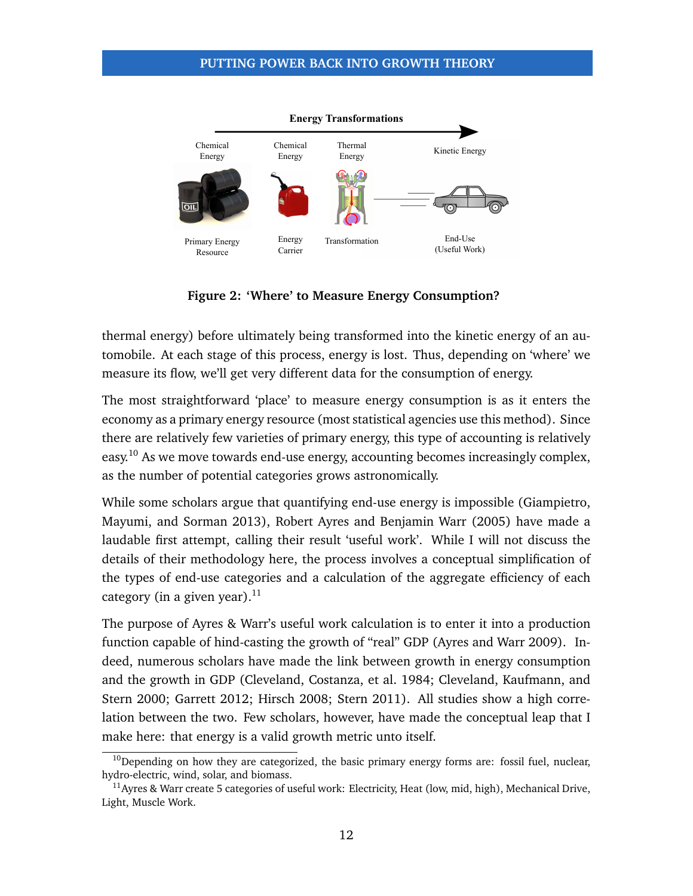<span id="page-11-0"></span>

**Figure 2: 'Where' to Measure Energy Consumption?**

thermal energy) before ultimately being transformed into the kinetic energy of an automobile. At each stage of this process, energy is lost. Thus, depending on 'where' we measure its flow, we'll get very different data for the consumption of energy.

The most straightforward 'place' to measure energy consumption is as it enters the economy as a primary energy resource (most statistical agencies use this method). Since there are relatively few varieties of primary energy, this type of accounting is relatively easy.<sup>[10](#page-0-0)</sup> As we move towards end-use energy, accounting becomes increasingly complex, as the number of potential categories grows astronomically.

While some scholars argue that quantifying end-use energy is impossible (Giampietro, Mayumi, and Sorman [2013\)](#page-34-11), Robert Ayres and Benjamin Warr [\(2005\)](#page-33-10) have made a laudable first attempt, calling their result 'useful work'. While I will not discuss the details of their methodology here, the process involves a conceptual simplification of the types of end-use categories and a calculation of the aggregate efficiency of each category (in a given year).<sup>[11](#page-0-0)</sup>

The purpose of Ayres & Warr's useful work calculation is to enter it into a production function capable of hind-casting the growth of "real" GDP (Ayres and Warr [2009\)](#page-33-1). Indeed, numerous scholars have made the link between growth in energy consumption and the growth in GDP (Cleveland, Costanza, et al. [1984;](#page-33-11) Cleveland, Kaufmann, and Stern [2000;](#page-33-12) Garrett [2012;](#page-34-12) Hirsch [2008;](#page-34-13) Stern [2011\)](#page-35-14). All studies show a high correlation between the two. Few scholars, however, have made the conceptual leap that I make here: that energy is a valid growth metric unto itself.

 $10$ Depending on how they are categorized, the basic primary energy forms are: fossil fuel, nuclear, hydro-electric, wind, solar, and biomass.

<sup>&</sup>lt;sup>11</sup>Ayres & Warr create 5 categories of useful work: Electricity, Heat (low, mid, high), Mechanical Drive, Light, Muscle Work.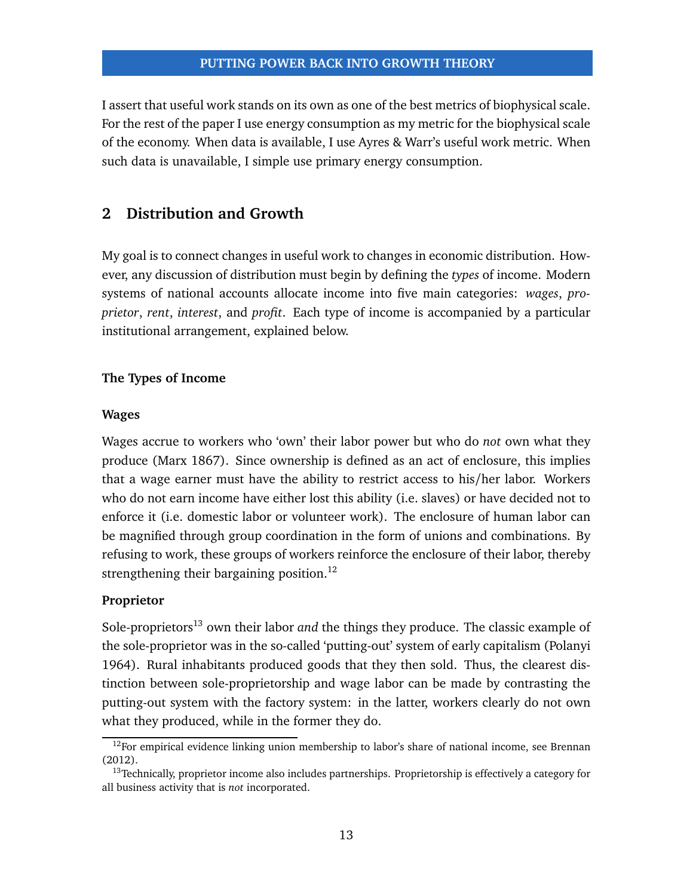I assert that useful work stands on its own as one of the best metrics of biophysical scale. For the rest of the paper I use energy consumption as my metric for the biophysical scale of the economy. When data is available, I use Ayres & Warr's useful work metric. When such data is unavailable, I simple use primary energy consumption.

# **2 Distribution and Growth**

My goal is to connect changes in useful work to changes in economic distribution. However, any discussion of distribution must begin by defining the *types* of income. Modern systems of national accounts allocate income into five main categories: *wages*, *proprietor*, *rent*, *interest*, and *profit*. Each type of income is accompanied by a particular institutional arrangement, explained below.

# **The Types of Income**

#### **Wages**

Wages accrue to workers who 'own' their labor power but who do *not* own what they produce (Marx [1867\)](#page-34-14). Since ownership is defined as an act of enclosure, this implies that a wage earner must have the ability to restrict access to his/her labor. Workers who do not earn income have either lost this ability (i.e. slaves) or have decided not to enforce it (i.e. domestic labor or volunteer work). The enclosure of human labor can be magnified through group coordination in the form of unions and combinations. By refusing to work, these groups of workers reinforce the enclosure of their labor, thereby strengthening their bargaining position.<sup>[12](#page-0-0)</sup>

# **Proprietor**

Sole-proprietors<sup>[13](#page-0-0)</sup> own their labor *and* the things they produce. The classic example of the sole-proprietor was in the so-called 'putting-out' system of early capitalism (Polanyi [1964\)](#page-35-15). Rural inhabitants produced goods that they then sold. Thus, the clearest distinction between sole-proprietorship and wage labor can be made by contrasting the putting-out system with the factory system: in the latter, workers clearly do not own what they produced, while in the former they do.

 $12$ For empirical evidence linking union membership to labor's share of national income, see Brennan [\(2012\)](#page-33-13).

 $13$ Technically, proprietor income also includes partnerships. Proprietorship is effectively a category for all business activity that is *not* incorporated.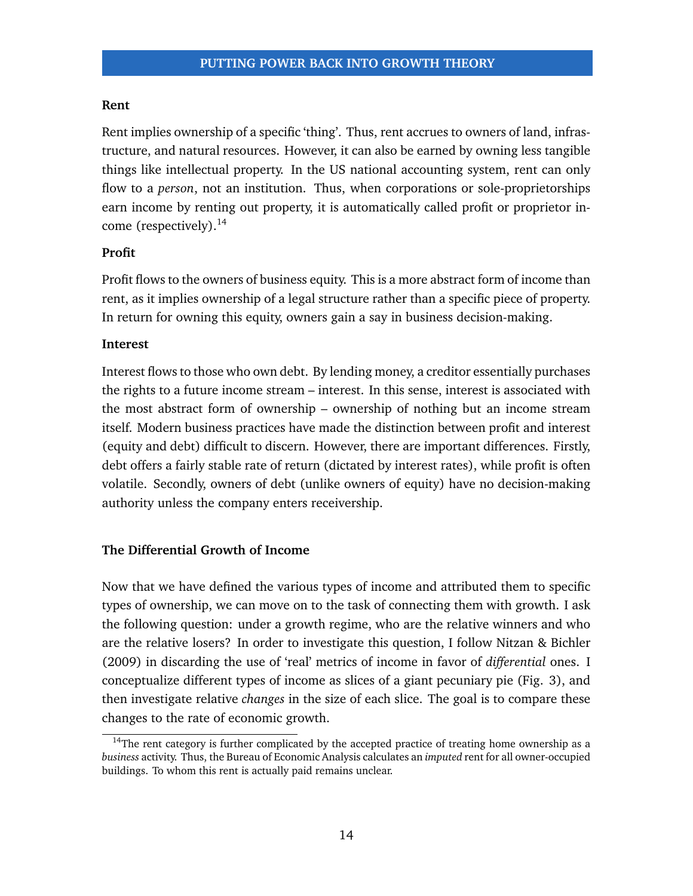#### **Rent**

Rent implies ownership of a specific 'thing'. Thus, rent accrues to owners of land, infrastructure, and natural resources. However, it can also be earned by owning less tangible things like intellectual property. In the US national accounting system, rent can only flow to a *person*, not an institution. Thus, when corporations or sole-proprietorships earn income by renting out property, it is automatically called profit or proprietor income (respectively).[14](#page-0-0)

#### **Profit**

Profit flows to the owners of business equity. This is a more abstract form of income than rent, as it implies ownership of a legal structure rather than a specific piece of property. In return for owning this equity, owners gain a say in business decision-making.

#### **Interest**

Interest flows to those who own debt. By lending money, a creditor essentially purchases the rights to a future income stream – interest. In this sense, interest is associated with the most abstract form of ownership – ownership of nothing but an income stream itself. Modern business practices have made the distinction between profit and interest (equity and debt) difficult to discern. However, there are important differences. Firstly, debt offers a fairly stable rate of return (dictated by interest rates), while profit is often volatile. Secondly, owners of debt (unlike owners of equity) have no decision-making authority unless the company enters receivership.

#### **The Differential Growth of Income**

Now that we have defined the various types of income and attributed them to specific types of ownership, we can move on to the task of connecting them with growth. I ask the following question: under a growth regime, who are the relative winners and who are the relative losers? In order to investigate this question, I follow Nitzan & Bichler [\(2009\)](#page-35-0) in discarding the use of 'real' metrics of income in favor of *differential* ones. I conceptualize different types of income as slices of a giant pecuniary pie (Fig. [3\)](#page-14-0), and then investigate relative *changes* in the size of each slice. The goal is to compare these changes to the rate of economic growth.

 $14$ The rent category is further complicated by the accepted practice of treating home ownership as a *business* activity. Thus, the Bureau of Economic Analysis calculates an *imputed* rent for all owner-occupied buildings. To whom this rent is actually paid remains unclear.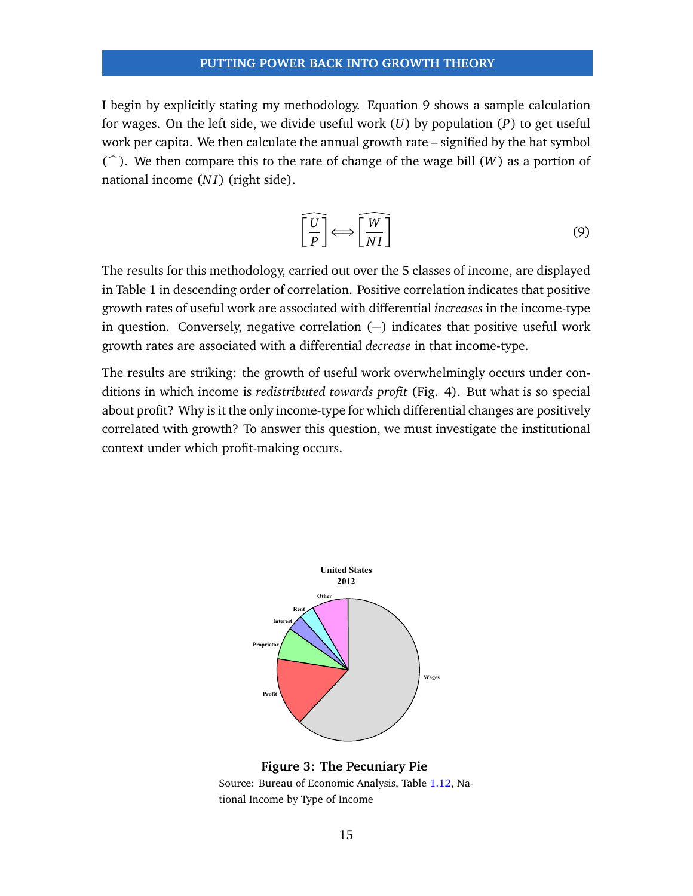I begin by explicitly stating my methodology. Equation [9](#page-14-1) shows a sample calculation for wages. On the left side, we divide useful work (*U*) by population (*P*) to get useful work per capita. We then calculate the annual growth rate – signified by the hat symbol  $(\hat{\ })$ . We then compare this to the rate of change of the wage bill (*W*) as a portion of national income (*N I*) (right side).

<span id="page-14-1"></span>
$$
\left[\frac{\widehat{U}}{P}\right] \Longleftrightarrow \left[\frac{\widehat{W}}{NI}\right] \tag{9}
$$

The results for this methodology, carried out over the 5 classes of income, are displayed in Table [1](#page-15-0) in descending order of correlation. Positive correlation indicates that positive growth rates of useful work are associated with differential *increases* in the income-type in question. Conversely, negative correlation (−) indicates that positive useful work growth rates are associated with a differential *decrease* in that income-type.

The results are striking: the growth of useful work overwhelmingly occurs under conditions in which income is *redistributed towards profit* (Fig. [4\)](#page-16-0). But what is so special about profit? Why is it the only income-type for which differential changes are positively correlated with growth? To answer this question, we must investigate the institutional context under which profit-making occurs.

<span id="page-14-0"></span>

**Figure 3: The Pecuniary Pie**

Source: Bureau of Economic Analysis, Table [1.12,](http://www.bea.gov/iTable/iTable.cfm?ReqID=9&step=1#reqid=9&step=3&isuri=1&903=53) National Income by Type of Income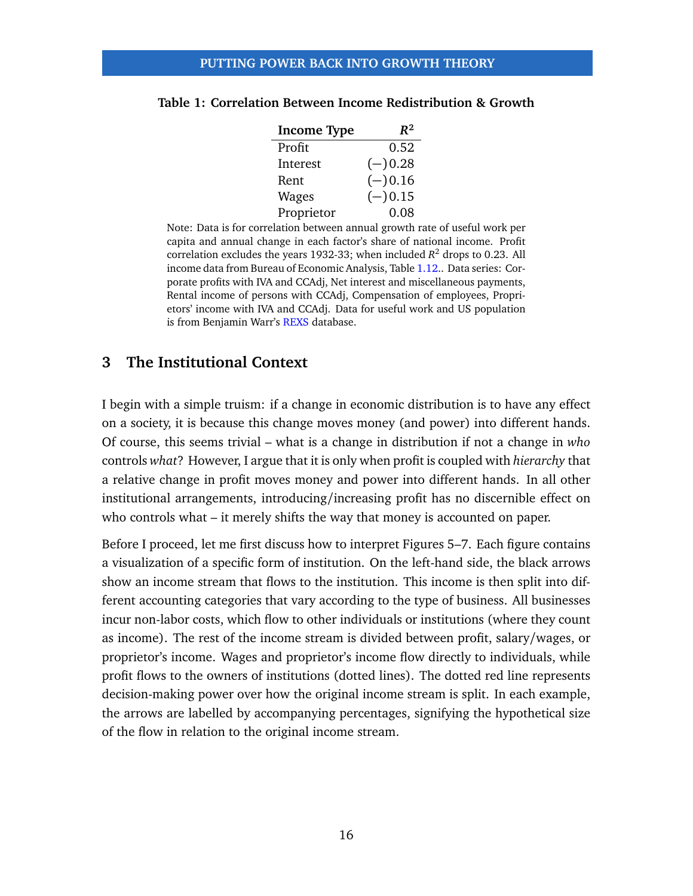| <b>Income Type</b> | $R^2$     |
|--------------------|-----------|
| Profit             | 0.52      |
| Interest           | $(-)0.28$ |
| Rent               | $(-)0.16$ |
| Wages              | $(-)0.15$ |
| Proprietor         | 0.08      |

#### <span id="page-15-0"></span>**Table 1: Correlation Between Income Redistribution & Growth**

Note: Data is for correlation between annual growth rate of useful work per capita and annual change in each factor's share of national income. Profit correlation excludes the years 1932-33; when included *R* <sup>2</sup> drops to 0.23. All income data from Bureau of Economic Analysis, Table [1.12.](http://www.bea.gov/iTable/iTable.cfm?ReqID=9&step=1#reqid=9&step=3&isuri=1&903=53). Data series: Corporate profits with IVA and CCAdj, Net interest and miscellaneous payments, Rental income of persons with CCAdj, Compensation of employees, Proprietors' income with IVA and CCAdj. Data for useful work and US population is from Benjamin Warr's [REXS](https://sites.google.com/site/benjaminwarr/the-economic-growth-engine/rexs-database/USDataSources.xls?attredirects=0) database.

# **3 The Institutional Context**

I begin with a simple truism: if a change in economic distribution is to have any effect on a society, it is because this change moves money (and power) into different hands. Of course, this seems trivial – what is a change in distribution if not a change in *who* controls *what*? However, I argue that it is only when profit is coupled with *hierarchy* that a relative change in profit moves money and power into different hands. In all other institutional arrangements, introducing/increasing profit has no discernible effect on who controls what – it merely shifts the way that money is accounted on paper.

Before I proceed, let me first discuss how to interpret Figures [5](#page-17-0)[–7.](#page-20-0) Each figure contains a visualization of a specific form of institution. On the left-hand side, the black arrows show an income stream that flows to the institution. This income is then split into different accounting categories that vary according to the type of business. All businesses incur non-labor costs, which flow to other individuals or institutions (where they count as income). The rest of the income stream is divided between profit, salary/wages, or proprietor's income. Wages and proprietor's income flow directly to individuals, while profit flows to the owners of institutions (dotted lines). The dotted red line represents decision-making power over how the original income stream is split. In each example, the arrows are labelled by accompanying percentages, signifying the hypothetical size of the flow in relation to the original income stream.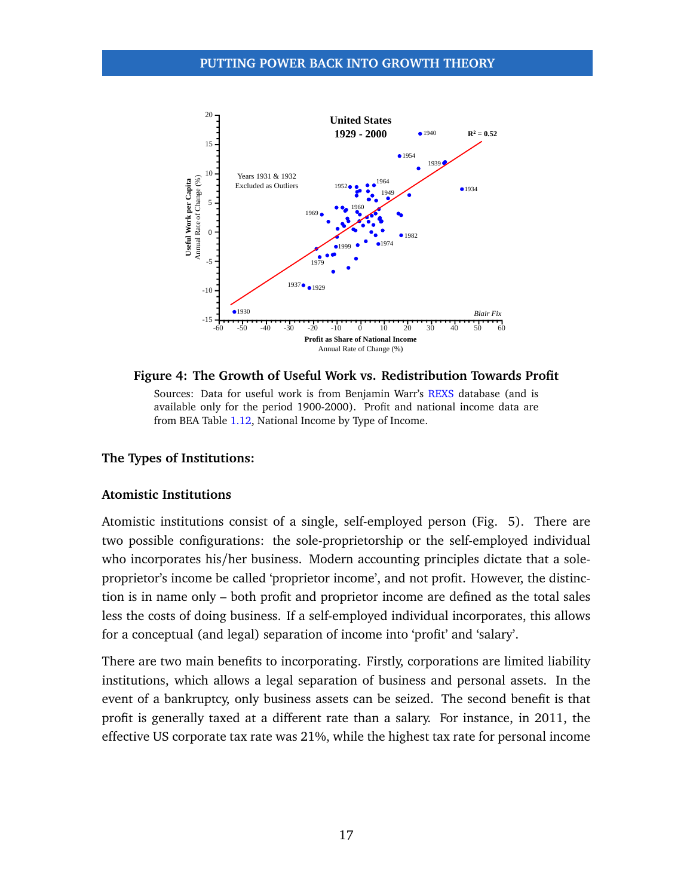<span id="page-16-0"></span>

**Figure 4: The Growth of Useful Work vs. Redistribution Towards Profit** Sources: Data for useful work is from Benjamin Warr's [REXS](https://sites.google.com/site/benjaminwarr/the-economic-growth-engine/rexs-database/USDataSources.xls?attredirects=0) database (and is available only for the period 1900-2000). Profit and national income data are from BEA Table [1.12,](http://www.bea.gov/iTable/iTable.cfm?ReqID=9&step=1#reqid=9&step=3&isuri=1&903=53) National Income by Type of Income.

#### **The Types of Institutions:**

#### **Atomistic Institutions**

Atomistic institutions consist of a single, self-employed person (Fig. [5\)](#page-17-0). There are two possible configurations: the sole-proprietorship or the self-employed individual who incorporates his/her business. Modern accounting principles dictate that a soleproprietor's income be called 'proprietor income', and not profit. However, the distinction is in name only – both profit and proprietor income are defined as the total sales less the costs of doing business. If a self-employed individual incorporates, this allows for a conceptual (and legal) separation of income into 'profit' and 'salary'.

There are two main benefits to incorporating. Firstly, corporations are limited liability institutions, which allows a legal separation of business and personal assets. In the event of a bankruptcy, only business assets can be seized. The second benefit is that profit is generally taxed at a different rate than a salary. For instance, in 2011, the effective US corporate tax rate was 21%, while the highest tax rate for personal income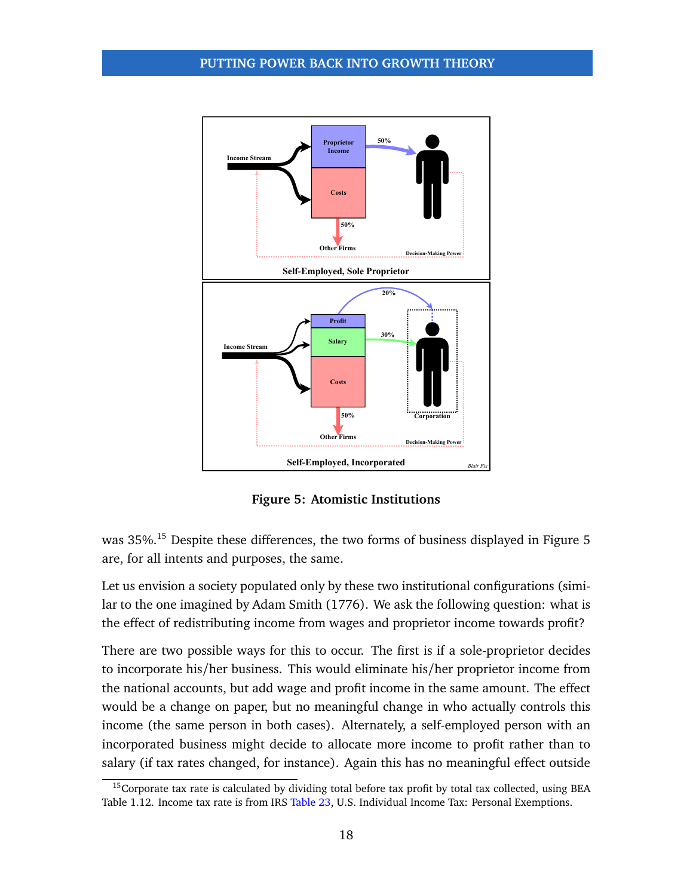<span id="page-17-0"></span>

**Figure 5: Atomistic Institutions**

was 35%.<sup>[15](#page-0-0)</sup> Despite these differences, the two forms of business displayed in Figure [5](#page-17-0) are, for all intents and purposes, the same.

Let us envision a society populated only by these two institutional configurations (similar to the one imagined by Adam Smith [\(1776\)](#page-35-16). We ask the following question: what is the effect of redistributing income from wages and proprietor income towards profit?

There are two possible ways for this to occur. The first is if a sole-proprietor decides to incorporate his/her business. This would eliminate his/her proprietor income from the national accounts, but add wage and profit income in the same amount. The effect would be a change on paper, but no meaningful change in who actually controls this income (the same person in both cases). Alternately, a self-employed person with an incorporated business might decide to allocate more income to profit rather than to salary (if tax rates changed, for instance). Again this has no meaningful effect outside

<sup>&</sup>lt;sup>15</sup>Corporate tax rate is calculated by dividing total before tax profit by total tax collected, using BEA Table 1.12. Income tax rate is from IRS [Table 23,](http://www.irs.gov/file_source/pub/irs-soi/histab23.xls) U.S. Individual Income Tax: Personal Exemptions.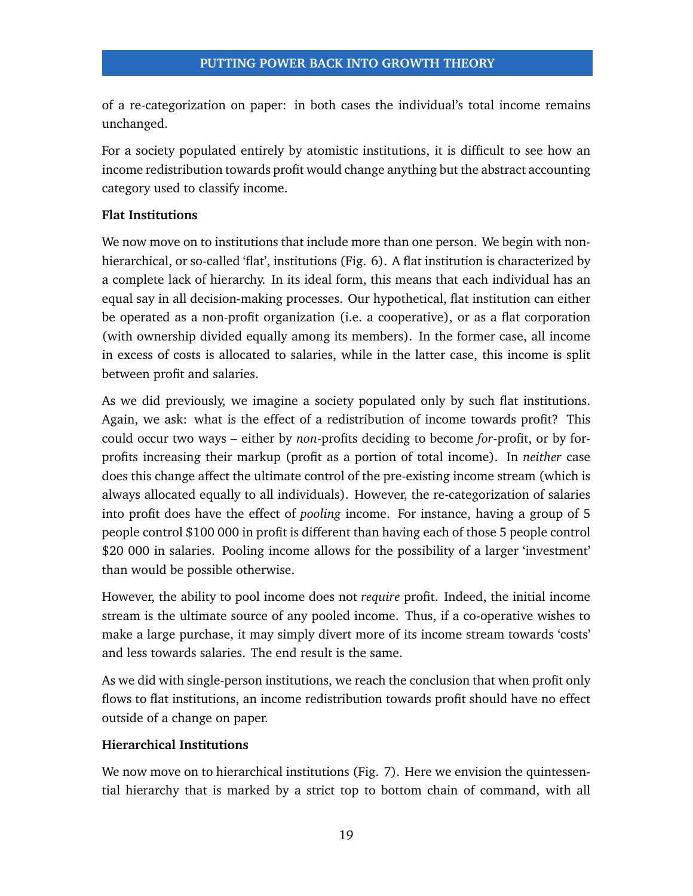of a re-categorization on paper: in both cases the individual's total income remains unchanged.

For a society populated entirely by atomistic institutions, it is difficult to see how an income redistribution towards profit would change anything but the abstract accounting category used to classify income.

# **Flat Institutions**

We now move on to institutions that include more than one person. We begin with nonhierarchical, or so-called 'flat', institutions (Fig. [6\)](#page-19-0). A flat institution is characterized by a complete lack of hierarchy. In its ideal form, this means that each individual has an equal say in all decision-making processes. Our hypothetical, flat institution can either be operated as a non-profit organization (i.e. a cooperative), or as a flat corporation (with ownership divided equally among its members). In the former case, all income in excess of costs is allocated to salaries, while in the latter case, this income is split between profit and salaries.

As we did previously, we imagine a society populated only by such flat institutions. Again, we ask: what is the effect of a redistribution of income towards profit? This could occur two ways – either by *non*-profits deciding to become *for*-profit, or by forprofits increasing their markup (profit as a portion of total income). In *neither* case does this change affect the ultimate control of the pre-existing income stream (which is always allocated equally to all individuals). However, the re-categorization of salaries into profit does have the effect of *pooling* income. For instance, having a group of 5 people control \$100 000 in profit is different than having each of those 5 people control \$20 000 in salaries. Pooling income allows for the possibility of a larger 'investment' than would be possible otherwise.

However, the ability to pool income does not *require* profit. Indeed, the initial income stream is the ultimate source of any pooled income. Thus, if a co-operative wishes to make a large purchase, it may simply divert more of its income stream towards 'costs' and less towards salaries. The end result is the same.

As we did with single-person institutions, we reach the conclusion that when profit only flows to flat institutions, an income redistribution towards profit should have no effect outside of a change on paper.

# **Hierarchical Institutions**

We now move on to hierarchical institutions (Fig. [7\)](#page-20-0). Here we envision the quintessential hierarchy that is marked by a strict top to bottom chain of command, with all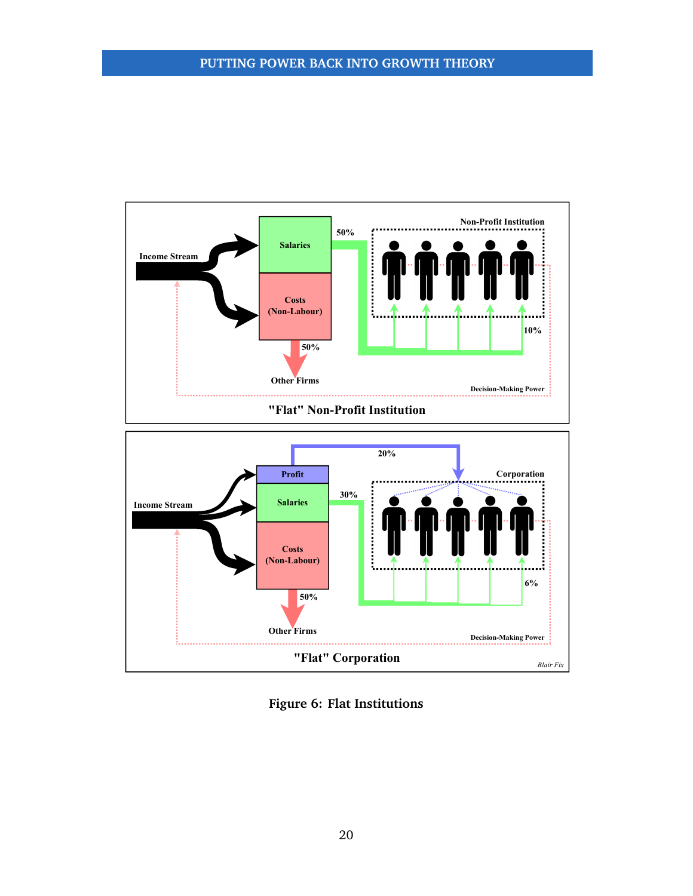<span id="page-19-0"></span>

**Figure 6: Flat Institutions**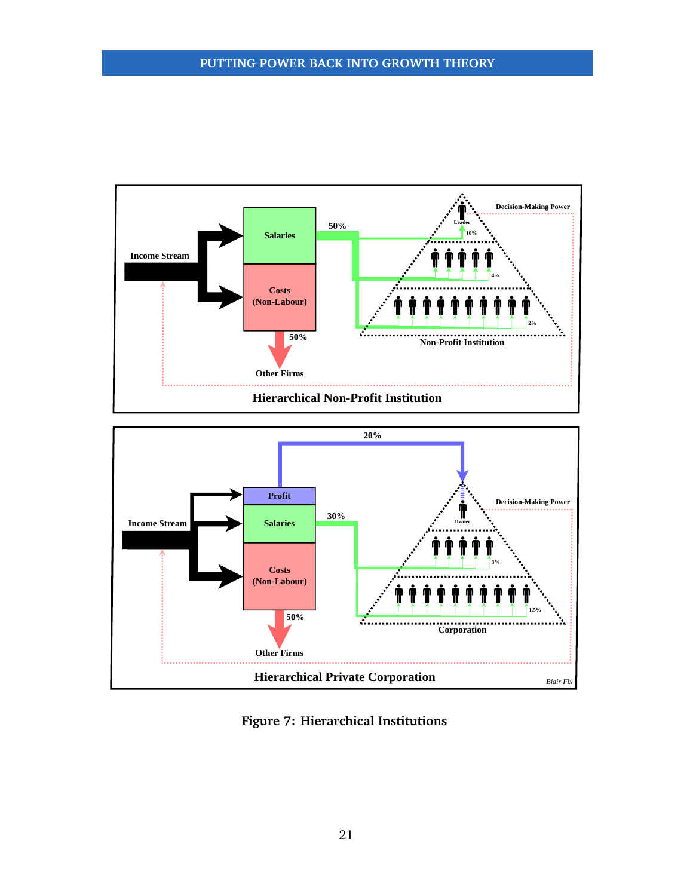<span id="page-20-0"></span>



**Figure 7: Hierarchical Institutions**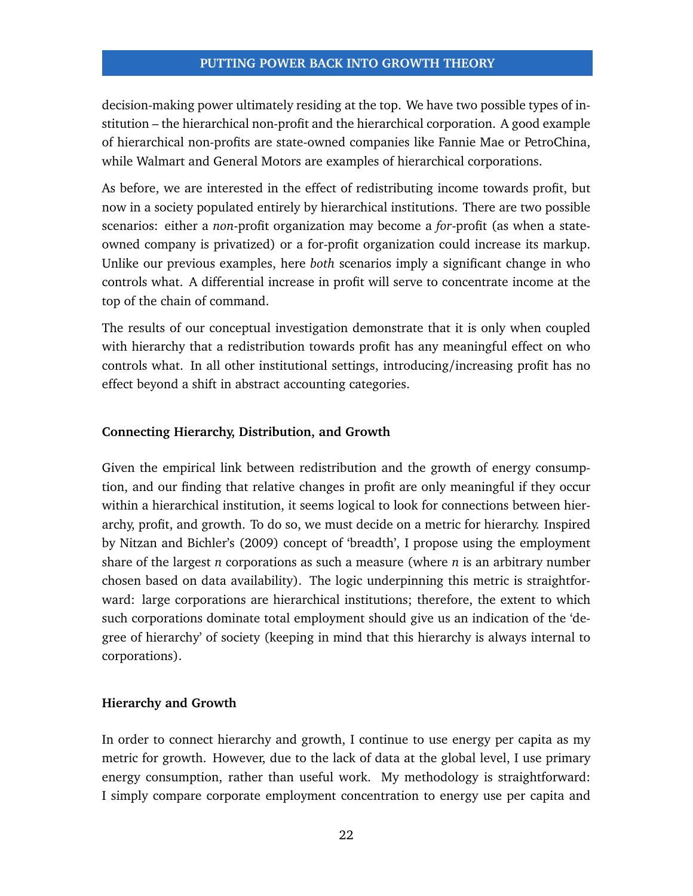decision-making power ultimately residing at the top. We have two possible types of institution – the hierarchical non-profit and the hierarchical corporation. A good example of hierarchical non-profits are state-owned companies like Fannie Mae or PetroChina, while Walmart and General Motors are examples of hierarchical corporations.

As before, we are interested in the effect of redistributing income towards profit, but now in a society populated entirely by hierarchical institutions. There are two possible scenarios: either a *non*-profit organization may become a *for*-profit (as when a stateowned company is privatized) or a for-profit organization could increase its markup. Unlike our previous examples, here *both* scenarios imply a significant change in who controls what. A differential increase in profit will serve to concentrate income at the top of the chain of command.

The results of our conceptual investigation demonstrate that it is only when coupled with hierarchy that a redistribution towards profit has any meaningful effect on who controls what. In all other institutional settings, introducing/increasing profit has no effect beyond a shift in abstract accounting categories.

# **Connecting Hierarchy, Distribution, and Growth**

Given the empirical link between redistribution and the growth of energy consumption, and our finding that relative changes in profit are only meaningful if they occur within a hierarchical institution, it seems logical to look for connections between hierarchy, profit, and growth. To do so, we must decide on a metric for hierarchy. Inspired by Nitzan and Bichler's [\(2009\)](#page-35-0) concept of 'breadth', I propose using the employment share of the largest *n* corporations as such a measure (where *n* is an arbitrary number chosen based on data availability). The logic underpinning this metric is straightforward: large corporations are hierarchical institutions; therefore, the extent to which such corporations dominate total employment should give us an indication of the 'degree of hierarchy' of society (keeping in mind that this hierarchy is always internal to corporations).

# **Hierarchy and Growth**

In order to connect hierarchy and growth, I continue to use energy per capita as my metric for growth. However, due to the lack of data at the global level, I use primary energy consumption, rather than useful work. My methodology is straightforward: I simply compare corporate employment concentration to energy use per capita and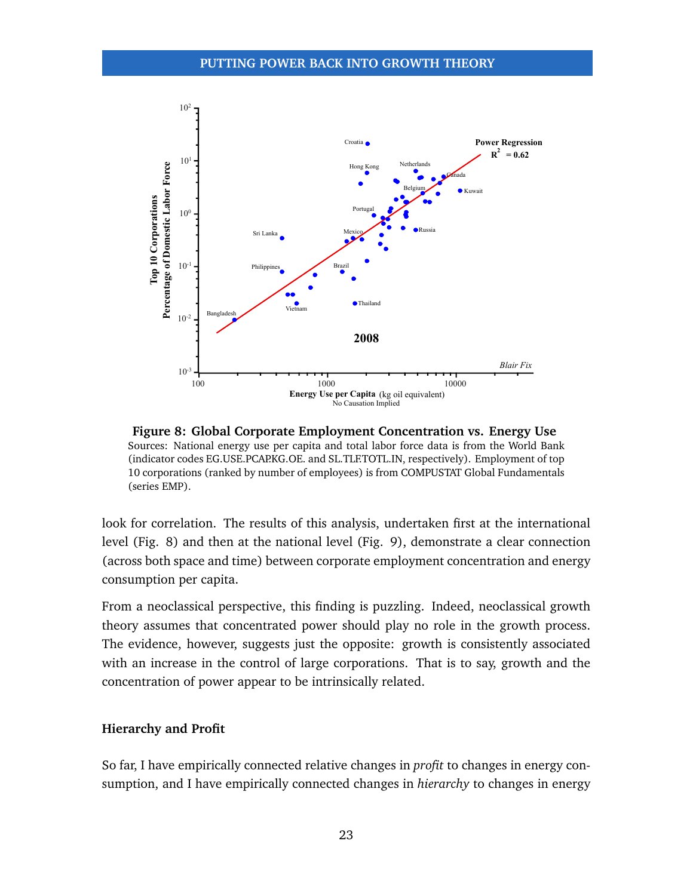<span id="page-22-0"></span>

**Figure 8: Global Corporate Employment Concentration vs. Energy Use** Sources: National energy use per capita and total labor force data is from the World Bank (indicator codes EG.USE.PCAP.KG.OE. and SL.TLF.TOTL.IN, respectively). Employment of top 10 corporations (ranked by number of employees) is from COMPUSTAT Global Fundamentals (series EMP).

look for correlation. The results of this analysis, undertaken first at the international level (Fig. [8\)](#page-22-0) and then at the national level (Fig. [9\)](#page-23-0), demonstrate a clear connection (across both space and time) between corporate employment concentration and energy consumption per capita.

From a neoclassical perspective, this finding is puzzling. Indeed, neoclassical growth theory assumes that concentrated power should play no role in the growth process. The evidence, however, suggests just the opposite: growth is consistently associated with an increase in the control of large corporations. That is to say, growth and the concentration of power appear to be intrinsically related.

# **Hierarchy and Profit**

So far, I have empirically connected relative changes in *profit* to changes in energy consumption, and I have empirically connected changes in *hierarchy* to changes in energy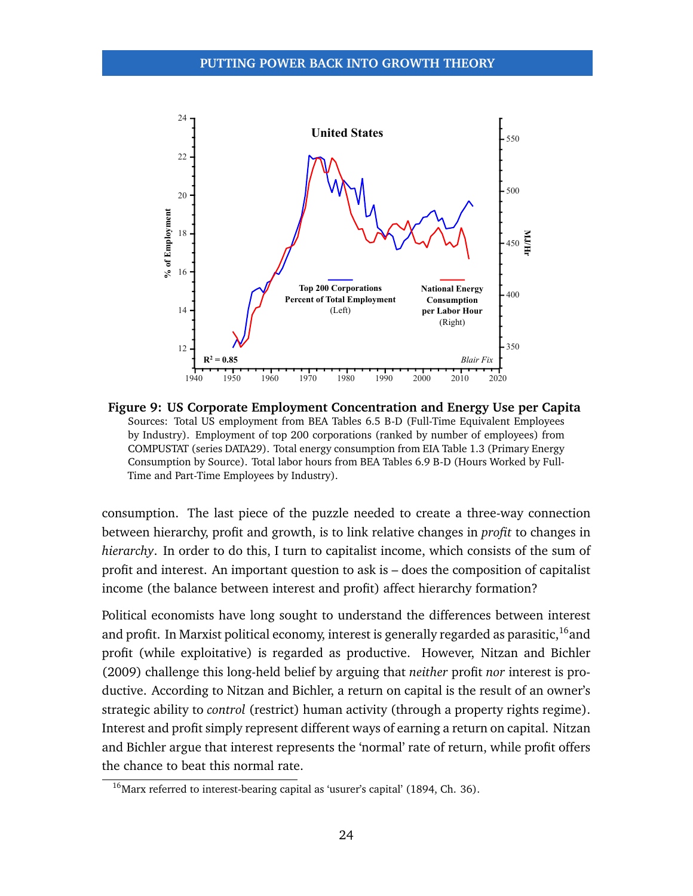<span id="page-23-0"></span>

**Figure 9: US Corporate Employment Concentration and Energy Use per Capita** Sources: Total US employment from BEA Tables 6.5 B-D (Full-Time Equivalent Employees by Industry). Employment of top 200 corporations (ranked by number of employees) from COMPUSTAT (series DATA29). Total energy consumption from EIA Table 1.3 (Primary Energy Consumption by Source). Total labor hours from BEA Tables 6.9 B-D (Hours Worked by Full-Time and Part-Time Employees by Industry).

consumption. The last piece of the puzzle needed to create a three-way connection between hierarchy, profit and growth, is to link relative changes in *profit* to changes in *hierarchy*. In order to do this, I turn to capitalist income, which consists of the sum of profit and interest. An important question to ask is – does the composition of capitalist income (the balance between interest and profit) affect hierarchy formation?

Political economists have long sought to understand the differences between interest and profit. In Marxist political economy, interest is generally regarded as parasitic,  $16$  and profit (while exploitative) is regarded as productive. However, Nitzan and Bichler [\(2009\)](#page-35-0) challenge this long-held belief by arguing that *neither* profit *nor* interest is productive. According to Nitzan and Bichler, a return on capital is the result of an owner's strategic ability to *control* (restrict) human activity (through a property rights regime). Interest and profit simply represent different ways of earning a return on capital. Nitzan and Bichler argue that interest represents the 'normal' rate of return, while profit offers the chance to beat this normal rate.

 $16$ Marx referred to interest-bearing capital as 'usurer's capital' [\(1894,](#page-34-15) Ch. 36).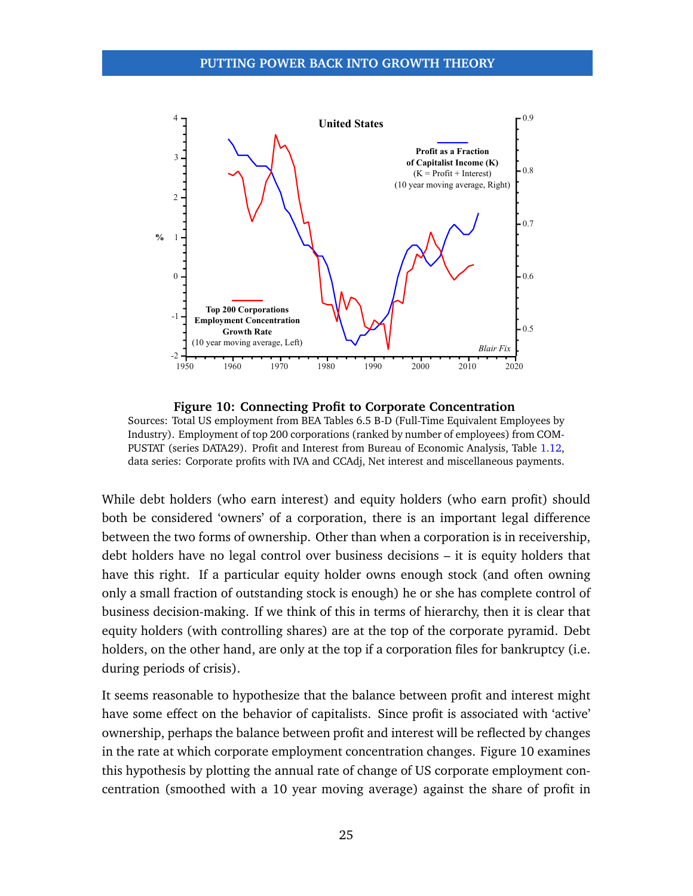<span id="page-24-0"></span>

**Figure 10: Connecting Profit to Corporate Concentration** Sources: Total US employment from BEA Tables 6.5 B-D (Full-Time Equivalent Employees by Industry). Employment of top 200 corporations (ranked by number of employees) from COM-PUSTAT (series DATA29). Profit and Interest from Bureau of Economic Analysis, Table [1.12,](http://www.bea.gov/iTable/iTable.cfm?ReqID=9&step=1#reqid=9&step=3&isuri=1&903=53) data series: Corporate profits with IVA and CCAdj, Net interest and miscellaneous payments.

While debt holders (who earn interest) and equity holders (who earn profit) should both be considered 'owners' of a corporation, there is an important legal difference between the two forms of ownership. Other than when a corporation is in receivership, debt holders have no legal control over business decisions – it is equity holders that have this right. If a particular equity holder owns enough stock (and often owning only a small fraction of outstanding stock is enough) he or she has complete control of business decision-making. If we think of this in terms of hierarchy, then it is clear that equity holders (with controlling shares) are at the top of the corporate pyramid. Debt holders, on the other hand, are only at the top if a corporation files for bankruptcy (i.e. during periods of crisis).

It seems reasonable to hypothesize that the balance between profit and interest might have some effect on the behavior of capitalists. Since profit is associated with 'active' ownership, perhaps the balance between profit and interest will be reflected by changes in the rate at which corporate employment concentration changes. Figure [10](#page-24-0) examines this hypothesis by plotting the annual rate of change of US corporate employment concentration (smoothed with a 10 year moving average) against the share of profit in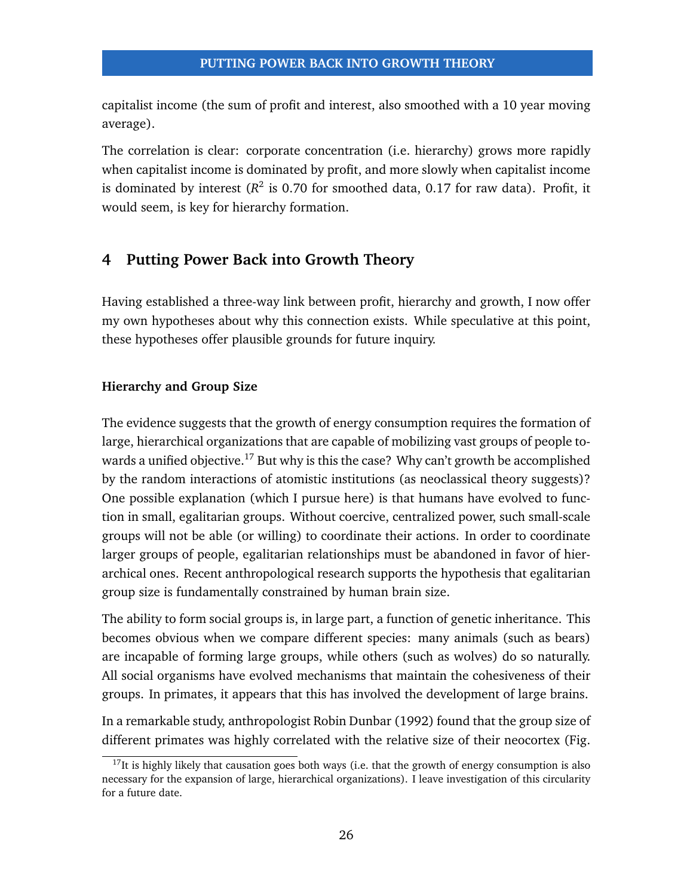capitalist income (the sum of profit and interest, also smoothed with a 10 year moving average).

The correlation is clear: corporate concentration (i.e. hierarchy) grows more rapidly when capitalist income is dominated by profit, and more slowly when capitalist income is dominated by interest  $(R^2$  is 0.70 for smoothed data, 0.17 for raw data). Profit, it would seem, is key for hierarchy formation.

# **4 Putting Power Back into Growth Theory**

Having established a three-way link between profit, hierarchy and growth, I now offer my own hypotheses about why this connection exists. While speculative at this point, these hypotheses offer plausible grounds for future inquiry.

# **Hierarchy and Group Size**

The evidence suggests that the growth of energy consumption requires the formation of large, hierarchical organizations that are capable of mobilizing vast groups of people to-wards a unified objective.<sup>[17](#page-0-0)</sup> But why is this the case? Why can't growth be accomplished by the random interactions of atomistic institutions (as neoclassical theory suggests)? One possible explanation (which I pursue here) is that humans have evolved to function in small, egalitarian groups. Without coercive, centralized power, such small-scale groups will not be able (or willing) to coordinate their actions. In order to coordinate larger groups of people, egalitarian relationships must be abandoned in favor of hierarchical ones. Recent anthropological research supports the hypothesis that egalitarian group size is fundamentally constrained by human brain size.

The ability to form social groups is, in large part, a function of genetic inheritance. This becomes obvious when we compare different species: many animals (such as bears) are incapable of forming large groups, while others (such as wolves) do so naturally. All social organisms have evolved mechanisms that maintain the cohesiveness of their groups. In primates, it appears that this has involved the development of large brains.

In a remarkable study, anthropologist Robin Dunbar [\(1992\)](#page-33-14) found that the group size of different primates was highly correlated with the relative size of their neocortex (Fig.

 $17$ It is highly likely that causation goes both ways (i.e. that the growth of energy consumption is also necessary for the expansion of large, hierarchical organizations). I leave investigation of this circularity for a future date.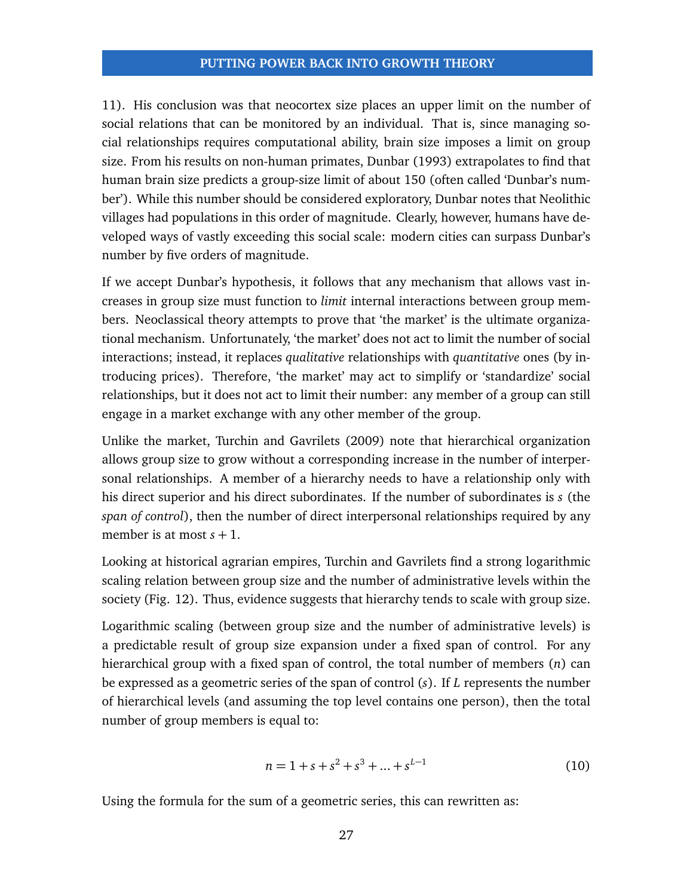[11\)](#page-27-0). His conclusion was that neocortex size places an upper limit on the number of social relations that can be monitored by an individual. That is, since managing social relationships requires computational ability, brain size imposes a limit on group size. From his results on non-human primates, Dunbar [\(1993\)](#page-33-15) extrapolates to find that human brain size predicts a group-size limit of about 150 (often called 'Dunbar's number'). While this number should be considered exploratory, Dunbar notes that Neolithic villages had populations in this order of magnitude. Clearly, however, humans have developed ways of vastly exceeding this social scale: modern cities can surpass Dunbar's number by five orders of magnitude.

If we accept Dunbar's hypothesis, it follows that any mechanism that allows vast increases in group size must function to *limit* internal interactions between group members. Neoclassical theory attempts to prove that 'the market' is the ultimate organizational mechanism. Unfortunately, 'the market' does not act to limit the number of social interactions; instead, it replaces *qualitative* relationships with *quantitative* ones (by introducing prices). Therefore, 'the market' may act to simplify or 'standardize' social relationships, but it does not act to limit their number: any member of a group can still engage in a market exchange with any other member of the group.

Unlike the market, Turchin and Gavrilets [\(2009\)](#page-35-17) note that hierarchical organization allows group size to grow without a corresponding increase in the number of interpersonal relationships. A member of a hierarchy needs to have a relationship only with his direct superior and his direct subordinates. If the number of subordinates is *s* (the *span of control*), then the number of direct interpersonal relationships required by any member is at most  $s + 1$ .

Looking at historical agrarian empires, Turchin and Gavrilets find a strong logarithmic scaling relation between group size and the number of administrative levels within the society (Fig. [12\)](#page-27-0). Thus, evidence suggests that hierarchy tends to scale with group size.

Logarithmic scaling (between group size and the number of administrative levels) is a predictable result of group size expansion under a fixed span of control. For any hierarchical group with a fixed span of control, the total number of members (*n*) can be expressed as a geometric series of the span of control (*s*). If *L* represents the number of hierarchical levels (and assuming the top level contains one person), then the total number of group members is equal to:

$$
n = 1 + s + s2 + s3 + ... + sL-1
$$
 (10)

Using the formula for the sum of a geometric series, this can rewritten as: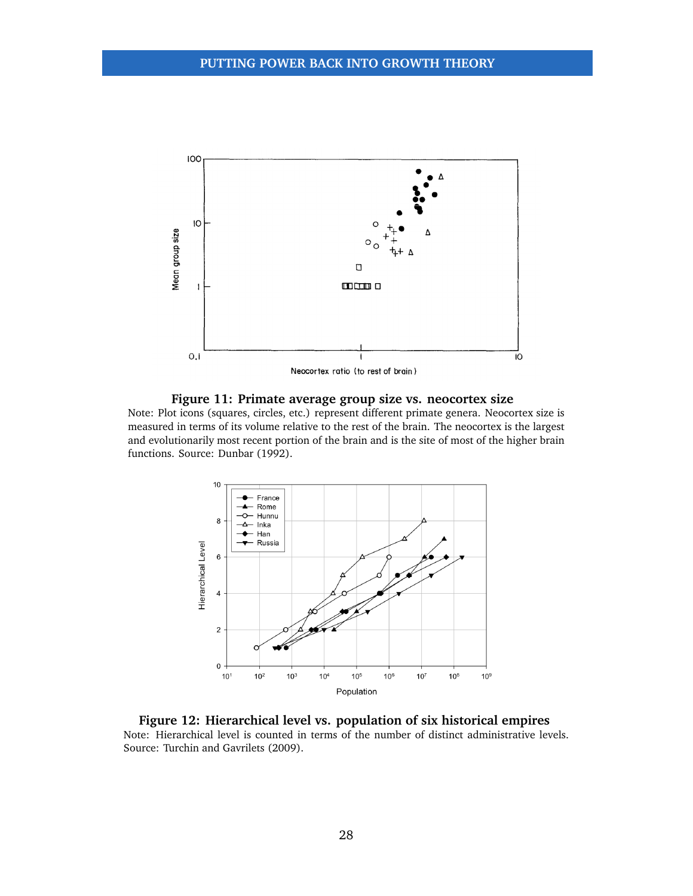<span id="page-27-0"></span>

**Figure 11: Primate average group size vs. neocortex size**

Note: Plot icons (squares, circles, etc.) represent different primate genera. Neocortex size is measured in terms of its volume relative to the rest of the brain. The neocortex is the largest and evolutionarily most recent portion of the brain and is the site of most of the higher brain functions. Source: Dunbar [\(1992\)](#page-33-14).



**Figure 12: Hierarchical level vs. population of six historical empires** Note: Hierarchical level is counted in terms of the number of distinct administrative levels. Source: Turchin and Gavrilets [\(2009\)](#page-35-17).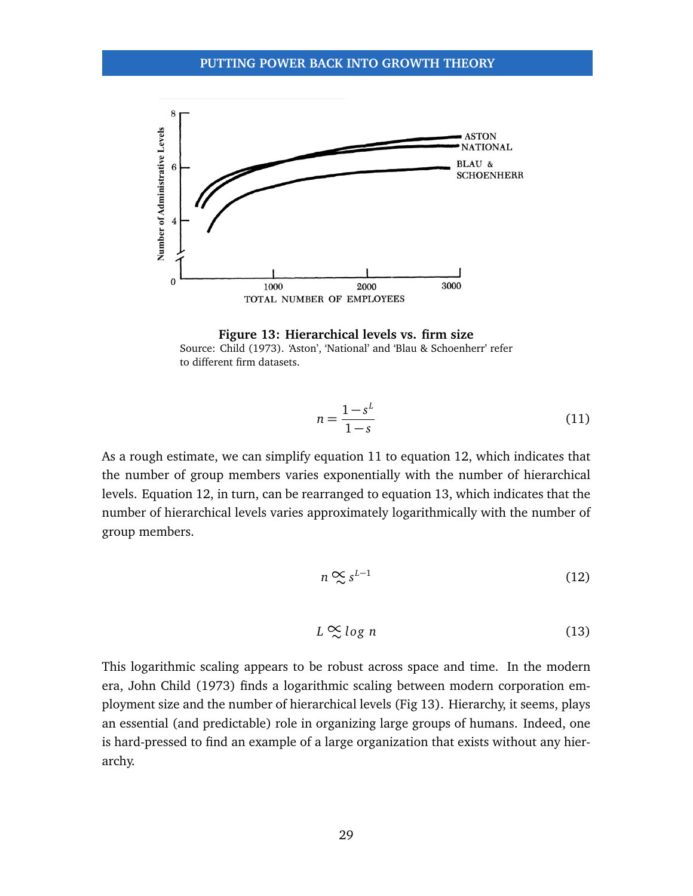<span id="page-28-3"></span>

**Figure 13: Hierarchical levels vs. firm size** Source: Child [\(1973\)](#page-33-16). 'Aston', 'National' and 'Blau & Schoenherr' refer to different firm datasets.

<span id="page-28-0"></span>
$$
n = \frac{1 - s^L}{1 - s} \tag{11}
$$

As a rough estimate, we can simplify equation [11](#page-28-0) to equation [12,](#page-28-1) which indicates that the number of group members varies exponentially with the number of hierarchical levels. Equation [12,](#page-28-1) in turn, can be rearranged to equation [13,](#page-28-2) which indicates that the number of hierarchical levels varies approximately logarithmically with the number of group members.

<span id="page-28-1"></span>
$$
n \underset{\sim}{\propto} s^{L-1} \tag{12}
$$

<span id="page-28-2"></span>
$$
L \underset{\sim}{\sim} \log n \tag{13}
$$

This logarithmic scaling appears to be robust across space and time. In the modern era, John Child [\(1973\)](#page-33-16) finds a logarithmic scaling between modern corporation employment size and the number of hierarchical levels (Fig [13\)](#page-28-3). Hierarchy, it seems, plays an essential (and predictable) role in organizing large groups of humans. Indeed, one is hard-pressed to find an example of a large organization that exists without any hierarchy.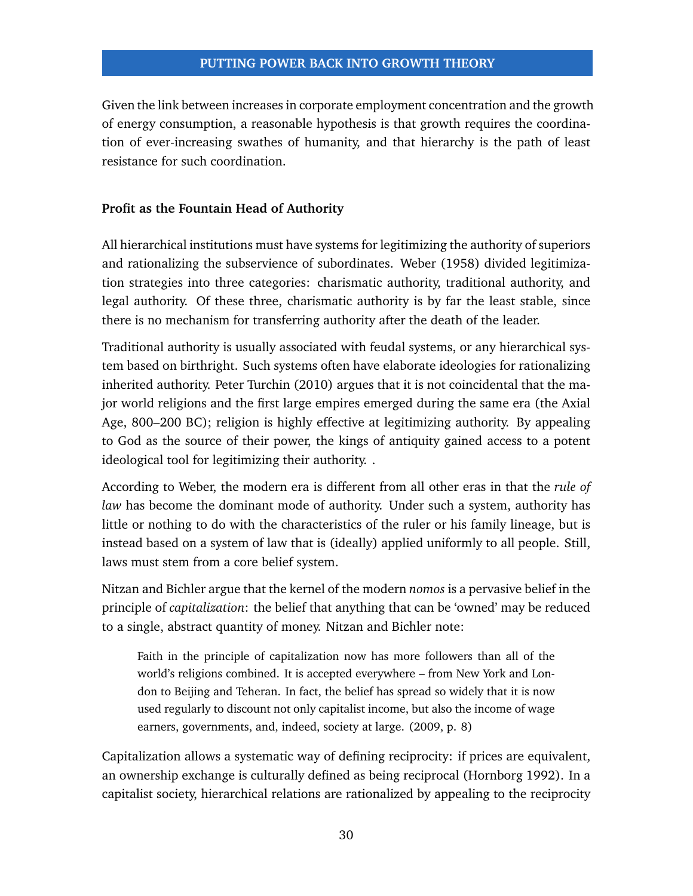Given the link between increases in corporate employment concentration and the growth of energy consumption, a reasonable hypothesis is that growth requires the coordination of ever-increasing swathes of humanity, and that hierarchy is the path of least resistance for such coordination.

#### **Profit as the Fountain Head of Authority**

All hierarchical institutions must have systems for legitimizing the authority of superiors and rationalizing the subservience of subordinates. Weber [\(1958\)](#page-35-18) divided legitimization strategies into three categories: charismatic authority, traditional authority, and legal authority. Of these three, charismatic authority is by far the least stable, since there is no mechanism for transferring authority after the death of the leader.

Traditional authority is usually associated with feudal systems, or any hierarchical system based on birthright. Such systems often have elaborate ideologies for rationalizing inherited authority. Peter Turchin [\(2010\)](#page-35-19) argues that it is not coincidental that the major world religions and the first large empires emerged during the same era (the Axial Age, 800–200 BC); religion is highly effective at legitimizing authority. By appealing to God as the source of their power, the kings of antiquity gained access to a potent ideological tool for legitimizing their authority. .

According to Weber, the modern era is different from all other eras in that the *rule of law* has become the dominant mode of authority. Under such a system, authority has little or nothing to do with the characteristics of the ruler or his family lineage, but is instead based on a system of law that is (ideally) applied uniformly to all people. Still, laws must stem from a core belief system.

Nitzan and Bichler argue that the kernel of the modern *nomos* is a pervasive belief in the principle of *capitalization*: the belief that anything that can be 'owned' may be reduced to a single, abstract quantity of money. Nitzan and Bichler note:

Faith in the principle of capitalization now has more followers than all of the world's religions combined. It is accepted everywhere – from New York and London to Beijing and Teheran. In fact, the belief has spread so widely that it is now used regularly to discount not only capitalist income, but also the income of wage earners, governments, and, indeed, society at large. [\(2009,](#page-35-0) p. 8)

Capitalization allows a systematic way of defining reciprocity: if prices are equivalent, an ownership exchange is culturally defined as being reciprocal (Hornborg [1992\)](#page-34-16). In a capitalist society, hierarchical relations are rationalized by appealing to the reciprocity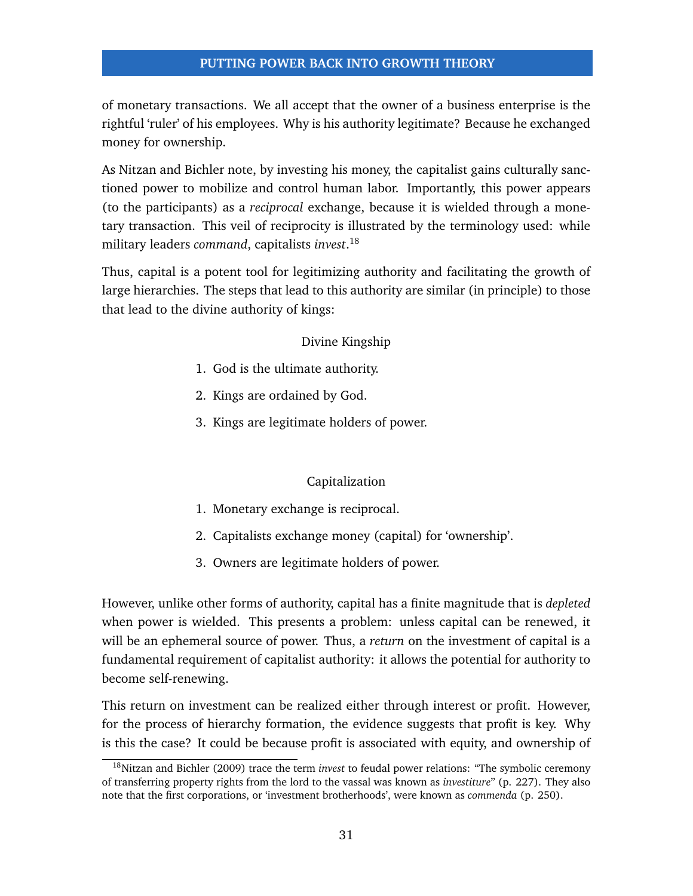of monetary transactions. We all accept that the owner of a business enterprise is the rightful 'ruler' of his employees. Why is his authority legitimate? Because he exchanged money for ownership.

As Nitzan and Bichler note, by investing his money, the capitalist gains culturally sanctioned power to mobilize and control human labor. Importantly, this power appears (to the participants) as a *reciprocal* exchange, because it is wielded through a monetary transaction. This veil of reciprocity is illustrated by the terminology used: while military leaders *command*, capitalists *invest*. [18](#page-0-0)

Thus, capital is a potent tool for legitimizing authority and facilitating the growth of large hierarchies. The steps that lead to this authority are similar (in principle) to those that lead to the divine authority of kings:

#### Divine Kingship

- 1. God is the ultimate authority.
- 2. Kings are ordained by God.
- 3. Kings are legitimate holders of power.

# Capitalization

- 1. Monetary exchange is reciprocal.
- 2. Capitalists exchange money (capital) for 'ownership'.
- 3. Owners are legitimate holders of power.

However, unlike other forms of authority, capital has a finite magnitude that is *depleted* when power is wielded. This presents a problem: unless capital can be renewed, it will be an ephemeral source of power. Thus, a *return* on the investment of capital is a fundamental requirement of capitalist authority: it allows the potential for authority to become self-renewing.

This return on investment can be realized either through interest or profit. However, for the process of hierarchy formation, the evidence suggests that profit is key. Why is this the case? It could be because profit is associated with equity, and ownership of

<sup>18</sup>Nitzan and Bichler [\(2009\)](#page-35-0) trace the term *invest* to feudal power relations: "The symbolic ceremony of transferring property rights from the lord to the vassal was known as *investiture*" (p. 227). They also note that the first corporations, or 'investment brotherhoods', were known as *commenda* (p. 250).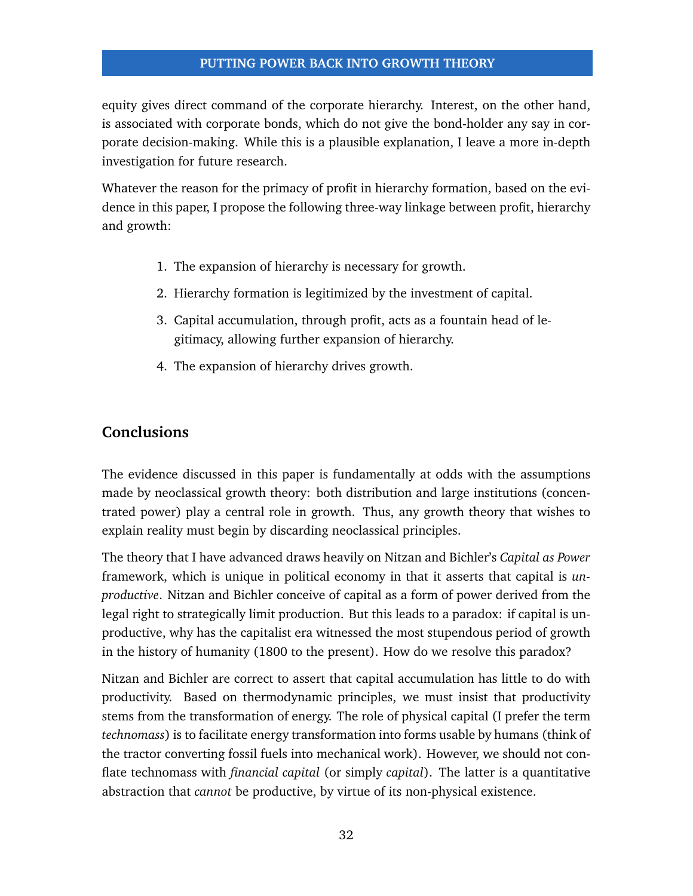equity gives direct command of the corporate hierarchy. Interest, on the other hand, is associated with corporate bonds, which do not give the bond-holder any say in corporate decision-making. While this is a plausible explanation, I leave a more in-depth investigation for future research.

Whatever the reason for the primacy of profit in hierarchy formation, based on the evidence in this paper, I propose the following three-way linkage between profit, hierarchy and growth:

- 1. The expansion of hierarchy is necessary for growth.
- 2. Hierarchy formation is legitimized by the investment of capital.
- 3. Capital accumulation, through profit, acts as a fountain head of legitimacy, allowing further expansion of hierarchy.
- 4. The expansion of hierarchy drives growth.

# **Conclusions**

The evidence discussed in this paper is fundamentally at odds with the assumptions made by neoclassical growth theory: both distribution and large institutions (concentrated power) play a central role in growth. Thus, any growth theory that wishes to explain reality must begin by discarding neoclassical principles.

The theory that I have advanced draws heavily on Nitzan and Bichler's *Capital as Power* framework, which is unique in political economy in that it asserts that capital is *unproductive*. Nitzan and Bichler conceive of capital as a form of power derived from the legal right to strategically limit production. But this leads to a paradox: if capital is unproductive, why has the capitalist era witnessed the most stupendous period of growth in the history of humanity (1800 to the present). How do we resolve this paradox?

Nitzan and Bichler are correct to assert that capital accumulation has little to do with productivity. Based on thermodynamic principles, we must insist that productivity stems from the transformation of energy. The role of physical capital (I prefer the term *technomass*) is to facilitate energy transformation into forms usable by humans (think of the tractor converting fossil fuels into mechanical work). However, we should not conflate technomass with *financial capital* (or simply *capital*). The latter is a quantitative abstraction that *cannot* be productive, by virtue of its non-physical existence.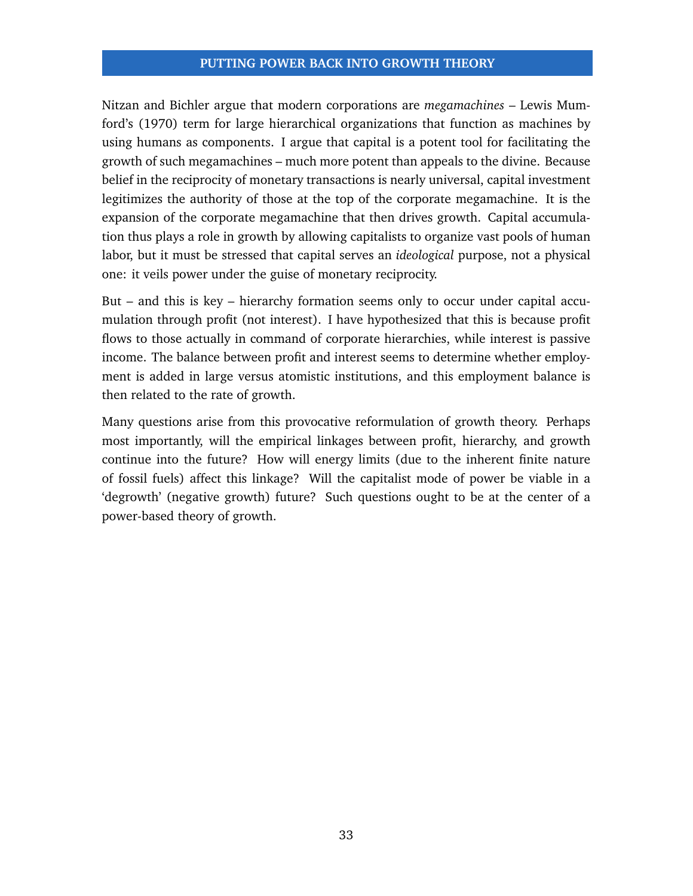Nitzan and Bichler argue that modern corporations are *megamachines* – Lewis Mumford's [\(1970\)](#page-34-17) term for large hierarchical organizations that function as machines by using humans as components. I argue that capital is a potent tool for facilitating the growth of such megamachines – much more potent than appeals to the divine. Because belief in the reciprocity of monetary transactions is nearly universal, capital investment legitimizes the authority of those at the top of the corporate megamachine. It is the expansion of the corporate megamachine that then drives growth. Capital accumulation thus plays a role in growth by allowing capitalists to organize vast pools of human labor, but it must be stressed that capital serves an *ideological* purpose, not a physical one: it veils power under the guise of monetary reciprocity.

But – and this is key – hierarchy formation seems only to occur under capital accumulation through profit (not interest). I have hypothesized that this is because profit flows to those actually in command of corporate hierarchies, while interest is passive income. The balance between profit and interest seems to determine whether employment is added in large versus atomistic institutions, and this employment balance is then related to the rate of growth.

Many questions arise from this provocative reformulation of growth theory. Perhaps most importantly, will the empirical linkages between profit, hierarchy, and growth continue into the future? How will energy limits (due to the inherent finite nature of fossil fuels) affect this linkage? Will the capitalist mode of power be viable in a 'degrowth' (negative growth) future? Such questions ought to be at the center of a power-based theory of growth.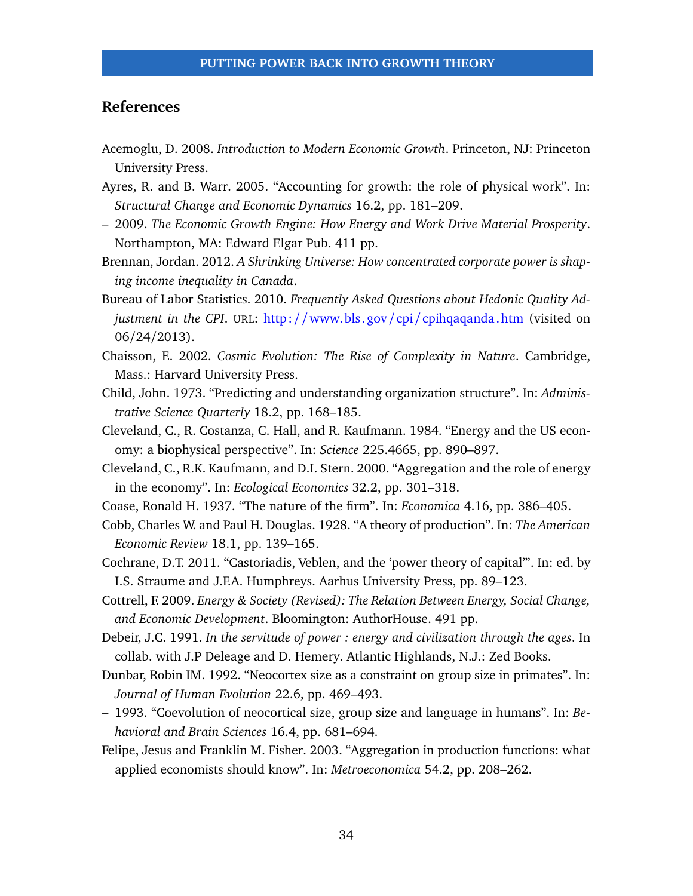# **References**

- <span id="page-33-0"></span>Acemoglu, D. 2008. *Introduction to Modern Economic Growth*. Princeton, NJ: Princeton University Press.
- <span id="page-33-10"></span>Ayres, R. and B. Warr. 2005. "Accounting for growth: the role of physical work". In: *Structural Change and Economic Dynamics* 16.2, pp. 181–209.
- <span id="page-33-1"></span>– 2009. *The Economic Growth Engine: How Energy and Work Drive Material Prosperity*. Northampton, MA: Edward Elgar Pub. 411 pp.
- <span id="page-33-13"></span>Brennan, Jordan. 2012. *A Shrinking Universe: How concentrated corporate power is shaping income inequality in Canada*.
- <span id="page-33-6"></span>Bureau of Labor Statistics. 2010. *Frequently Asked Questions about Hedonic Quality Adjustment in the CPI*. URL: http://www.bls.gov/cpi/[cpihqaqanda.htm](http://www.bls.gov/cpi/cpihqaqanda.htm) (visited on 06/24/2013).
- <span id="page-33-7"></span>Chaisson, E. 2002. *Cosmic Evolution: The Rise of Complexity in Nature*. Cambridge, Mass.: Harvard University Press.
- <span id="page-33-16"></span>Child, John. 1973. "Predicting and understanding organization structure". In: *Administrative Science Quarterly* 18.2, pp. 168–185.
- <span id="page-33-11"></span>Cleveland, C., R. Costanza, C. Hall, and R. Kaufmann. 1984. "Energy and the US economy: a biophysical perspective". In: *Science* 225.4665, pp. 890–897.
- <span id="page-33-12"></span>Cleveland, C., R.K. Kaufmann, and D.I. Stern. 2000. "Aggregation and the role of energy in the economy". In: *Ecological Economics* 32.2, pp. 301–318.
- <span id="page-33-4"></span>Coase, Ronald H. 1937. "The nature of the firm". In: *Economica* 4.16, pp. 386–405.
- <span id="page-33-3"></span>Cobb, Charles W. and Paul H. Douglas. 1928. "A theory of production". In: *The American Economic Review* 18.1, pp. 139–165.
- <span id="page-33-5"></span>Cochrane, D.T. 2011. "Castoriadis, Veblen, and the 'power theory of capital'". In: ed. by I.S. Straume and J.F.A. Humphreys. Aarhus University Press, pp. 89–123.
- <span id="page-33-8"></span>Cottrell, F. 2009. *Energy & Society (Revised): The Relation Between Energy, Social Change, and Economic Development*. Bloomington: AuthorHouse. 491 pp.
- <span id="page-33-9"></span>Debeir, J.C. 1991. *In the servitude of power : energy and civilization through the ages*. In collab. with J.P Deleage and D. Hemery. Atlantic Highlands, N.J.: Zed Books.
- <span id="page-33-14"></span>Dunbar, Robin IM. 1992. "Neocortex size as a constraint on group size in primates". In: *Journal of Human Evolution* 22.6, pp. 469–493.
- <span id="page-33-15"></span>– 1993. "Coevolution of neocortical size, group size and language in humans". In: *Behavioral and Brain Sciences* 16.4, pp. 681–694.
- <span id="page-33-2"></span>Felipe, Jesus and Franklin M. Fisher. 2003. "Aggregation in production functions: what applied economists should know". In: *Metroeconomica* 54.2, pp. 208–262.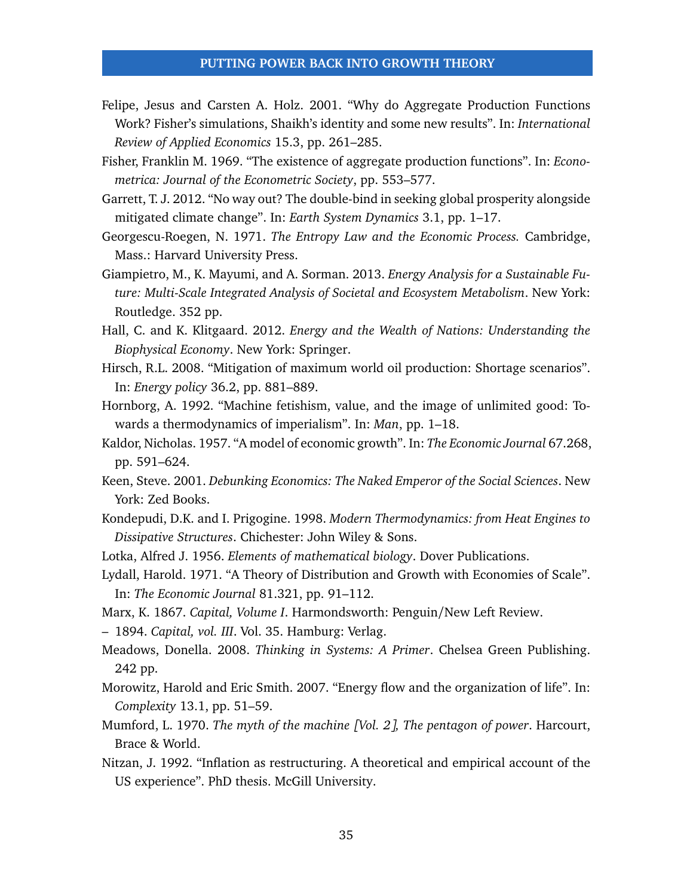- <span id="page-34-0"></span>Felipe, Jesus and Carsten A. Holz. 2001. "Why do Aggregate Production Functions Work? Fisher's simulations, Shaikh's identity and some new results". In: *International Review of Applied Economics* 15.3, pp. 261–285.
- <span id="page-34-1"></span>Fisher, Franklin M. 1969. "The existence of aggregate production functions". In: *Econometrica: Journal of the Econometric Society*, pp. 553–577.
- <span id="page-34-12"></span>Garrett, T. J. 2012. "No way out? The double-bind in seeking global prosperity alongside mitigated climate change". In: *Earth System Dynamics* 3.1, pp. 1–17.
- <span id="page-34-10"></span>Georgescu-Roegen, N. 1971. *The Entropy Law and the Economic Process.* Cambridge, Mass.: Harvard University Press.
- <span id="page-34-11"></span>Giampietro, M., K. Mayumi, and A. Sorman. 2013. *Energy Analysis for a Sustainable Future: Multi-Scale Integrated Analysis of Societal and Ecosystem Metabolism*. New York: Routledge. 352 pp.
- <span id="page-34-9"></span>Hall, C. and K. Klitgaard. 2012. *Energy and the Wealth of Nations: Understanding the Biophysical Economy*. New York: Springer.
- <span id="page-34-13"></span>Hirsch, R.L. 2008. "Mitigation of maximum world oil production: Shortage scenarios". In: *Energy policy* 36.2, pp. 881–889.
- <span id="page-34-16"></span>Hornborg, A. 1992. "Machine fetishism, value, and the image of unlimited good: Towards a thermodynamics of imperialism". In: *Man*, pp. 1–18.
- <span id="page-34-2"></span>Kaldor, Nicholas. 1957. "A model of economic growth". In: *The Economic Journal* 67.268, pp. 591–624.
- <span id="page-34-3"></span>Keen, Steve. 2001. *Debunking Economics: The Naked Emperor of the Social Sciences*. New York: Zed Books.
- <span id="page-34-6"></span>Kondepudi, D.K. and I. Prigogine. 1998. *Modern Thermodynamics: from Heat Engines to Dissipative Structures*. Chichester: John Wiley & Sons.
- <span id="page-34-7"></span>Lotka, Alfred J. 1956. *Elements of mathematical biology*. Dover Publications.
- <span id="page-34-4"></span>Lydall, Harold. 1971. "A Theory of Distribution and Growth with Economies of Scale". In: *The Economic Journal* 81.321, pp. 91–112.
- <span id="page-34-14"></span>Marx, K. 1867. *Capital, Volume I*. Harmondsworth: Penguin/New Left Review.
- <span id="page-34-15"></span>– 1894. *Capital, vol. III*. Vol. 35. Hamburg: Verlag.
- Meadows, Donella. 2008. *Thinking in Systems: A Primer*. Chelsea Green Publishing. 242 pp.
- <span id="page-34-8"></span>Morowitz, Harold and Eric Smith. 2007. "Energy flow and the organization of life". In: *Complexity* 13.1, pp. 51–59.
- <span id="page-34-17"></span>Mumford, L. 1970. *The myth of the machine [Vol. 2], The pentagon of power*. Harcourt, Brace & World.
- <span id="page-34-5"></span>Nitzan, J. 1992. "Inflation as restructuring. A theoretical and empirical account of the US experience". PhD thesis. McGill University.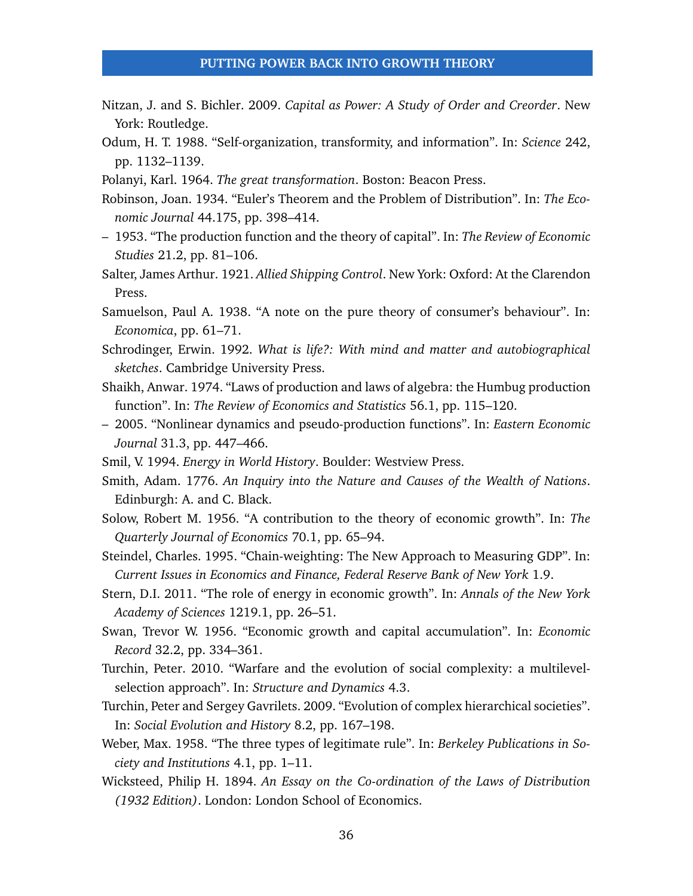- <span id="page-35-0"></span>Nitzan, J. and S. Bichler. 2009. *Capital as Power: A Study of Order and Creorder*. New York: Routledge.
- <span id="page-35-11"></span>Odum, H. T. 1988. "Self-organization, transformity, and information". In: *Science* 242, pp. 1132–1139.
- <span id="page-35-15"></span>Polanyi, Karl. 1964. *The great transformation*. Boston: Beacon Press.
- <span id="page-35-6"></span>Robinson, Joan. 1934. "Euler's Theorem and the Problem of Distribution". In: *The Economic Journal* 44.175, pp. 398–414.
- <span id="page-35-3"></span>– 1953. "The production function and the theory of capital". In: *The Review of Economic Studies* 21.2, pp. 81–106.
- <span id="page-35-8"></span>Salter, James Arthur. 1921. *Allied Shipping Control*. New York: Oxford: At the Clarendon Press.
- <span id="page-35-9"></span>Samuelson, Paul A. 1938. "A note on the pure theory of consumer's behaviour". In: *Economica*, pp. 61–71.
- <span id="page-35-12"></span>Schrodinger, Erwin. 1992. *What is life?: With mind and matter and autobiographical sketches*. Cambridge University Press.
- <span id="page-35-4"></span>Shaikh, Anwar. 1974. "Laws of production and laws of algebra: the Humbug production function". In: *The Review of Economics and Statistics* 56.1, pp. 115–120.
- <span id="page-35-5"></span>– 2005. "Nonlinear dynamics and pseudo-production functions". In: *Eastern Economic Journal* 31.3, pp. 447–466.
- <span id="page-35-13"></span>Smil, V. 1994. *Energy in World History*. Boulder: Westview Press.
- <span id="page-35-16"></span>Smith, Adam. 1776. *An Inquiry into the Nature and Causes of the Wealth of Nations*. Edinburgh: A. and C. Black.
- <span id="page-35-1"></span>Solow, Robert M. 1956. "A contribution to the theory of economic growth". In: *The Quarterly Journal of Economics* 70.1, pp. 65–94.
- <span id="page-35-10"></span>Steindel, Charles. 1995. "Chain-weighting: The New Approach to Measuring GDP". In: *Current Issues in Economics and Finance, Federal Reserve Bank of New York* 1.9.
- <span id="page-35-14"></span>Stern, D.I. 2011. "The role of energy in economic growth". In: *Annals of the New York Academy of Sciences* 1219.1, pp. 26–51.
- <span id="page-35-2"></span>Swan, Trevor W. 1956. "Economic growth and capital accumulation". In: *Economic Record* 32.2, pp. 334–361.
- <span id="page-35-19"></span>Turchin, Peter. 2010. "Warfare and the evolution of social complexity: a multilevelselection approach". In: *Structure and Dynamics* 4.3.
- <span id="page-35-17"></span>Turchin, Peter and Sergey Gavrilets. 2009. "Evolution of complex hierarchical societies". In: *Social Evolution and History* 8.2, pp. 167–198.
- <span id="page-35-18"></span>Weber, Max. 1958. "The three types of legitimate rule". In: *Berkeley Publications in Society and Institutions* 4.1, pp. 1–11.
- <span id="page-35-7"></span>Wicksteed, Philip H. 1894. *An Essay on the Co-ordination of the Laws of Distribution (1932 Edition)*. London: London School of Economics.